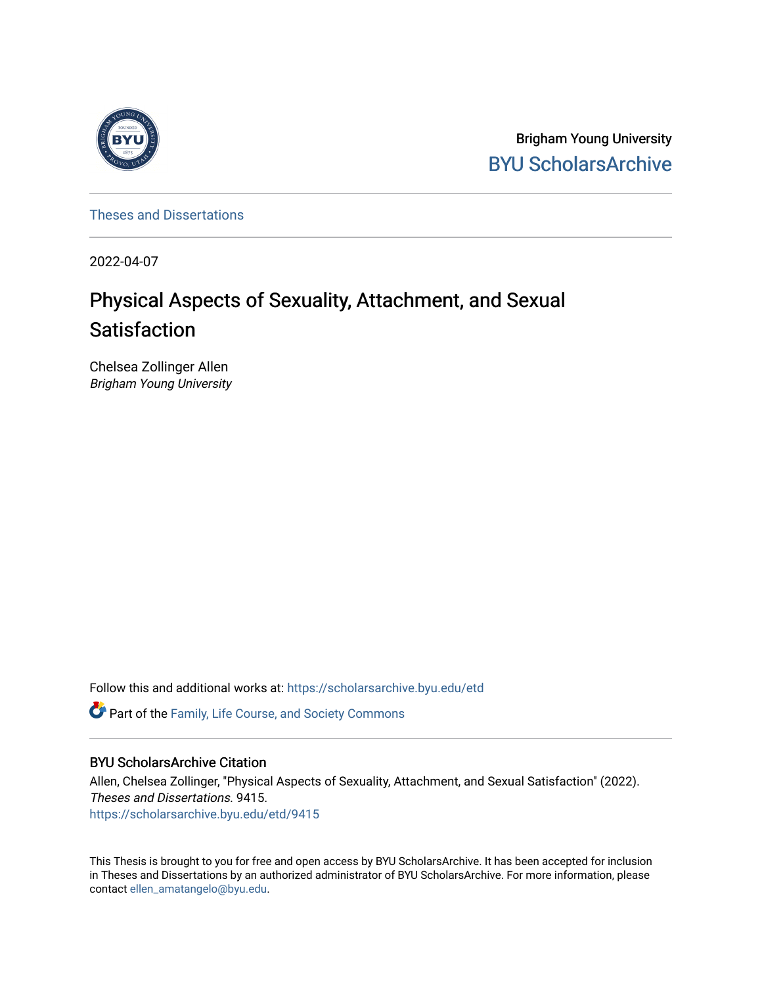

Brigham Young University [BYU ScholarsArchive](https://scholarsarchive.byu.edu/) 

[Theses and Dissertations](https://scholarsarchive.byu.edu/etd)

2022-04-07

# Physical Aspects of Sexuality, Attachment, and Sexual Satisfaction

Chelsea Zollinger Allen Brigham Young University

Follow this and additional works at: [https://scholarsarchive.byu.edu/etd](https://scholarsarchive.byu.edu/etd?utm_source=scholarsarchive.byu.edu%2Fetd%2F9415&utm_medium=PDF&utm_campaign=PDFCoverPages)

**C** Part of the Family, Life Course, and Society Commons

# BYU ScholarsArchive Citation

Allen, Chelsea Zollinger, "Physical Aspects of Sexuality, Attachment, and Sexual Satisfaction" (2022). Theses and Dissertations. 9415. [https://scholarsarchive.byu.edu/etd/9415](https://scholarsarchive.byu.edu/etd/9415?utm_source=scholarsarchive.byu.edu%2Fetd%2F9415&utm_medium=PDF&utm_campaign=PDFCoverPages) 

This Thesis is brought to you for free and open access by BYU ScholarsArchive. It has been accepted for inclusion in Theses and Dissertations by an authorized administrator of BYU ScholarsArchive. For more information, please contact [ellen\\_amatangelo@byu.edu.](mailto:ellen_amatangelo@byu.edu)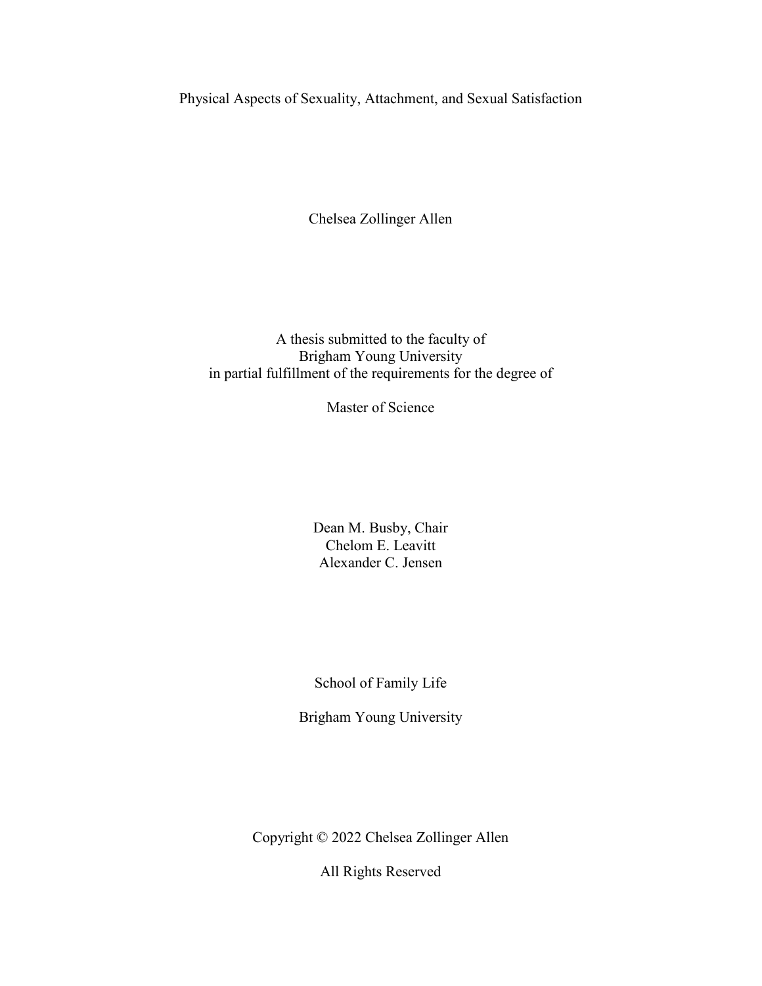<span id="page-1-0"></span>Physical Aspects of Sexuality, Attachment, and Sexual Satisfaction

Chelsea Zollinger Allen

A thesis submitted to the faculty of Brigham Young University in partial fulfillment of the requirements for the degree of

Master of Science

Dean M. Busby, Chair Chelom E. Leavitt Alexander C. Jensen

School of Family Life

Brigham Young University

Copyright © 2022 Chelsea Zollinger Allen

All Rights Reserved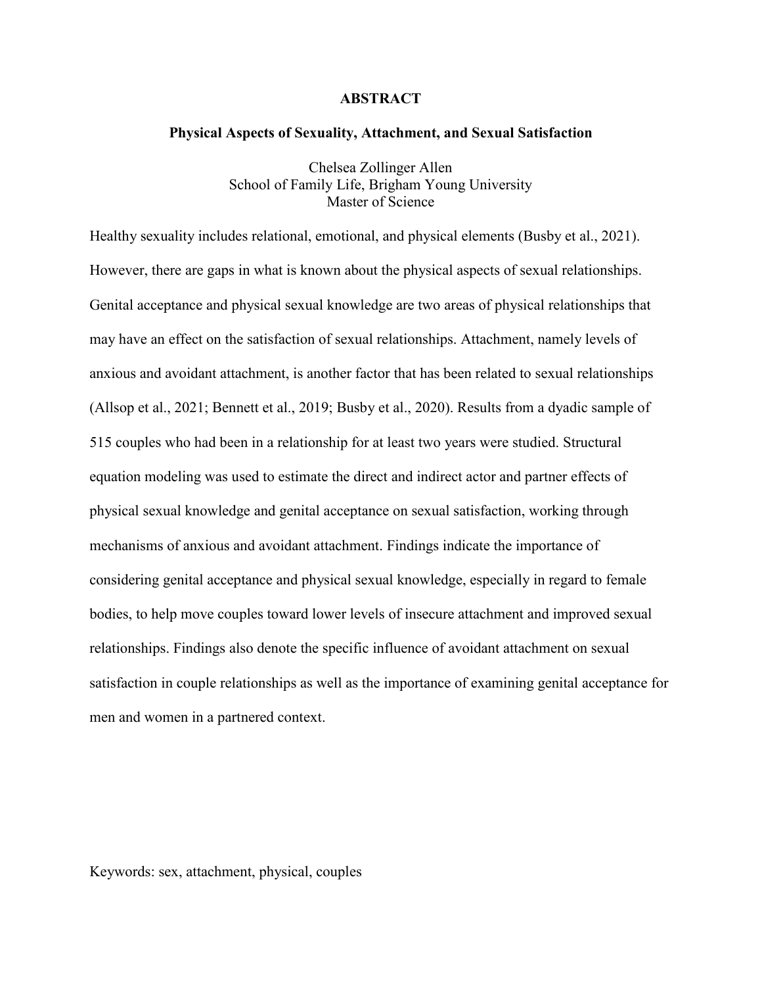## **ABSTRACT**

#### <span id="page-2-0"></span>**Physical Aspects of Sexuality, Attachment, and Sexual Satisfaction**

Chelsea Zollinger Allen School of Family Life, Brigham Young University Master of Science

Healthy sexuality includes relational, emotional, and physical elements (Busby et al., 2021). However, there are gaps in what is known about the physical aspects of sexual relationships. Genital acceptance and physical sexual knowledge are two areas of physical relationships that may have an effect on the satisfaction of sexual relationships. Attachment, namely levels of anxious and avoidant attachment, is another factor that has been related to sexual relationships (Allsop et al., 2021; Bennett et al., 2019; Busby et al., 2020). Results from a dyadic sample of 515 couples who had been in a relationship for at least two years were studied. Structural equation modeling was used to estimate the direct and indirect actor and partner effects of physical sexual knowledge and genital acceptance on sexual satisfaction, working through mechanisms of anxious and avoidant attachment. Findings indicate the importance of considering genital acceptance and physical sexual knowledge, especially in regard to female bodies, to help move couples toward lower levels of insecure attachment and improved sexual relationships. Findings also denote the specific influence of avoidant attachment on sexual satisfaction in couple relationships as well as the importance of examining genital acceptance for men and women in a partnered context.

Keywords: sex, attachment, physical, couples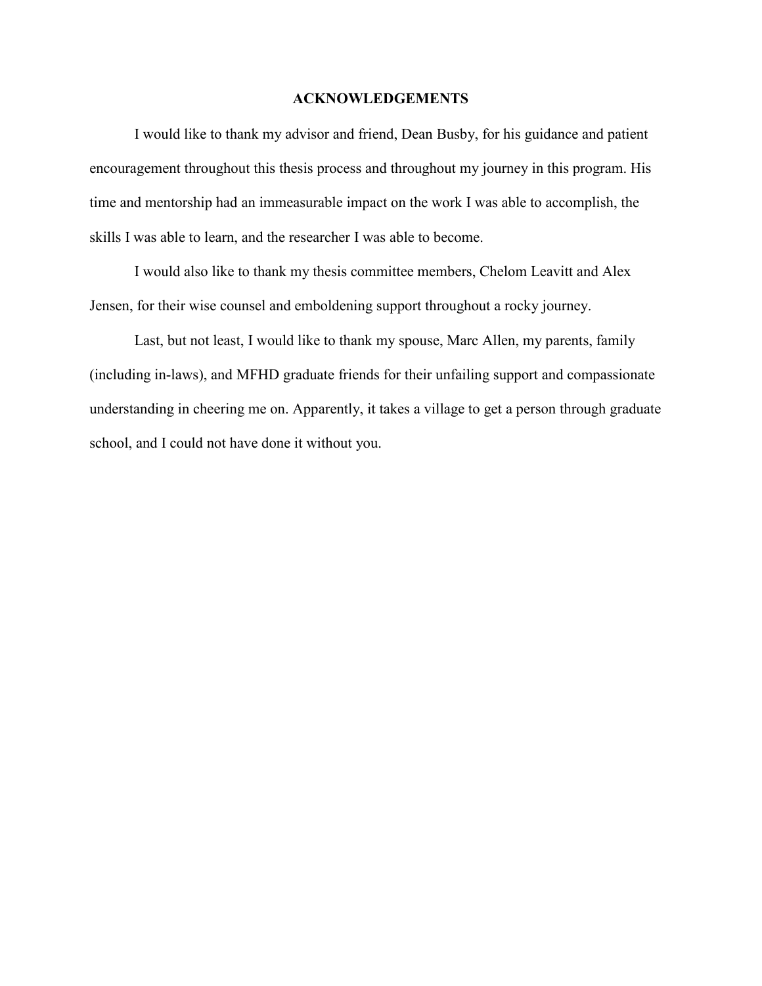#### **ACKNOWLEDGEMENTS**

<span id="page-3-0"></span>I would like to thank my advisor and friend, Dean Busby, for his guidance and patient encouragement throughout this thesis process and throughout my journey in this program. His time and mentorship had an immeasurable impact on the work I was able to accomplish, the skills I was able to learn, and the researcher I was able to become.

I would also like to thank my thesis committee members, Chelom Leavitt and Alex Jensen, for their wise counsel and emboldening support throughout a rocky journey.

Last, but not least, I would like to thank my spouse, Marc Allen, my parents, family (including in-laws), and MFHD graduate friends for their unfailing support and compassionate understanding in cheering me on. Apparently, it takes a village to get a person through graduate school, and I could not have done it without you.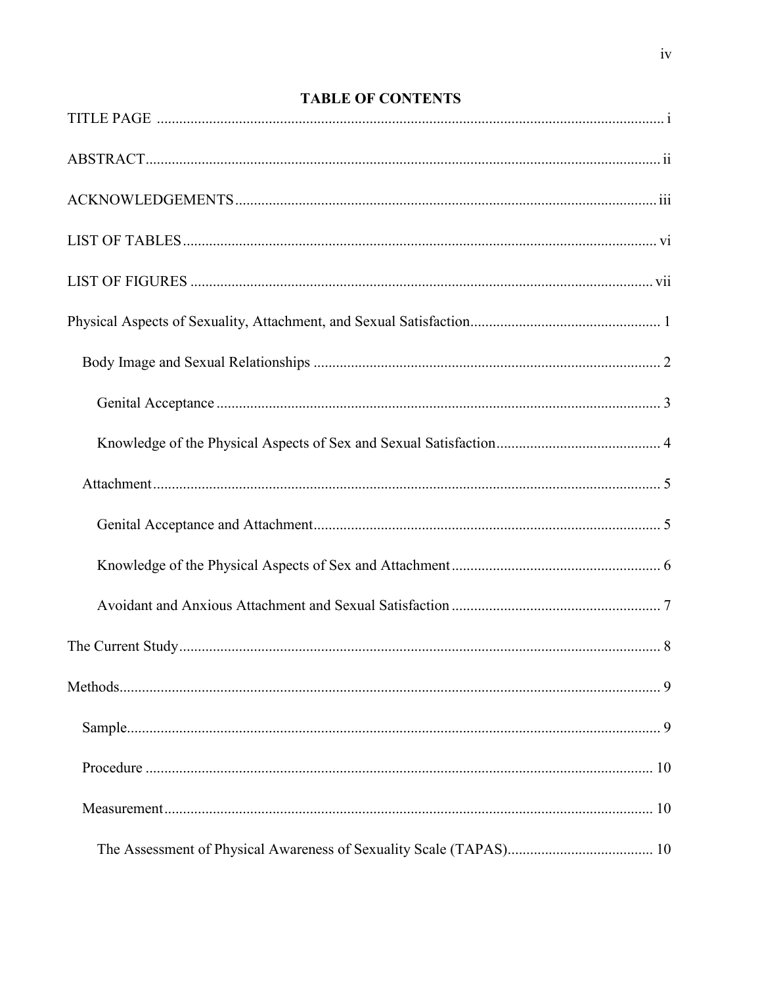# **TABLE OF CONTENTS**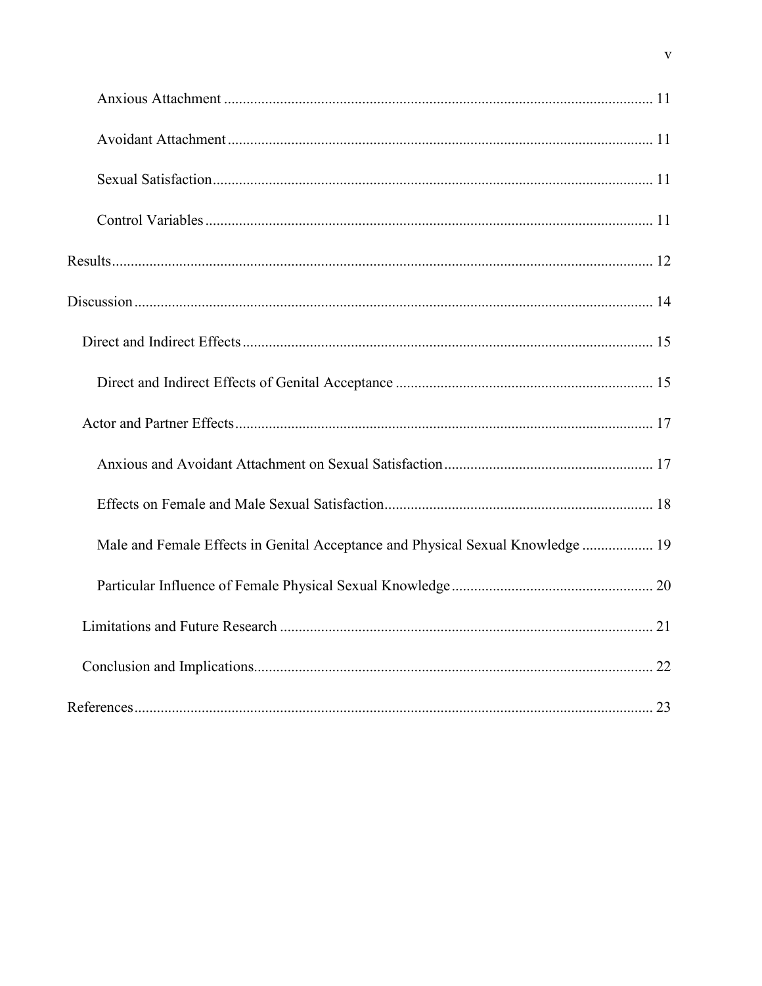| Male and Female Effects in Genital Acceptance and Physical Sexual Knowledge  19 |
|---------------------------------------------------------------------------------|
|                                                                                 |
|                                                                                 |
|                                                                                 |
|                                                                                 |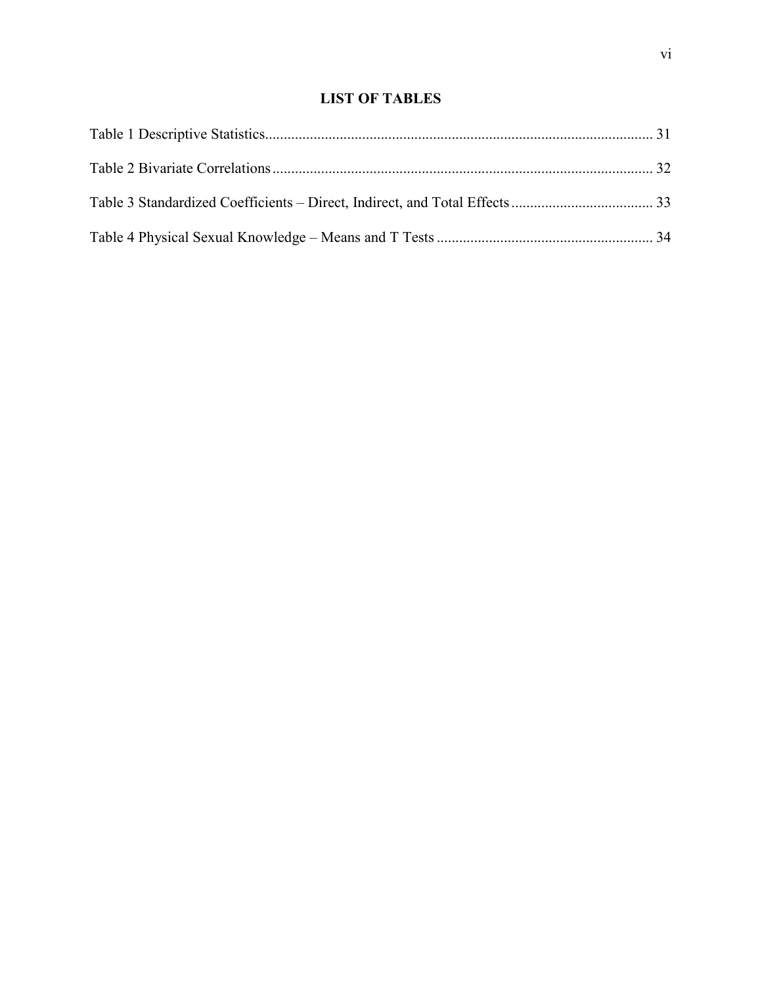# **LIST OF TABLES**

<span id="page-6-0"></span>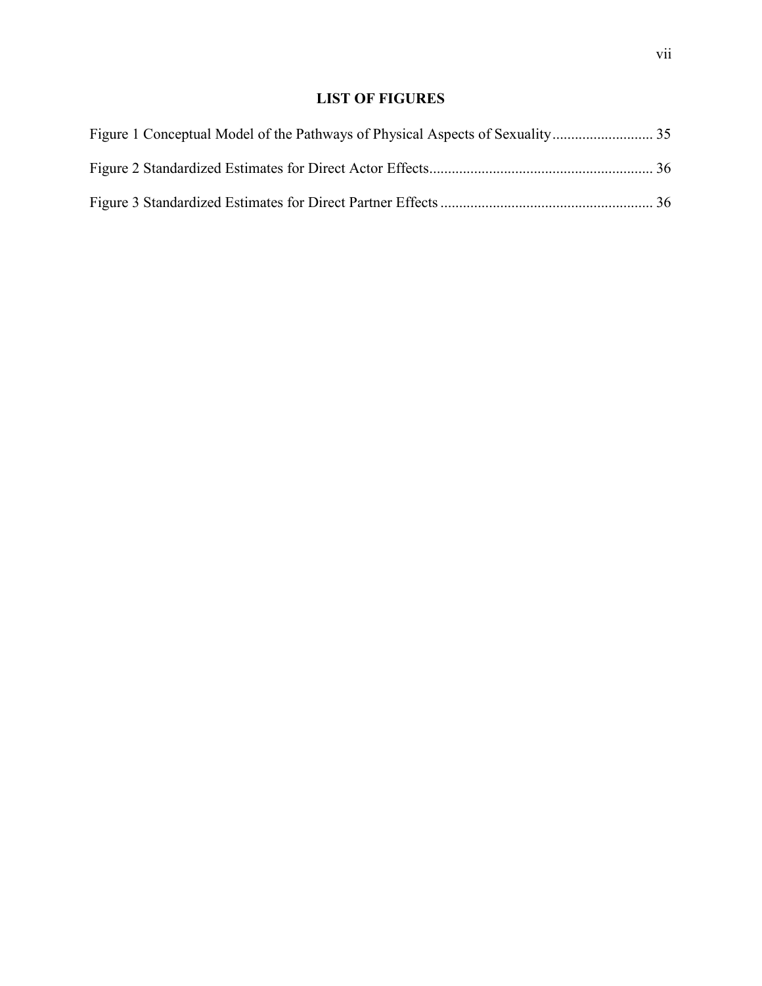# **LIST OF FIGURES**

<span id="page-7-0"></span>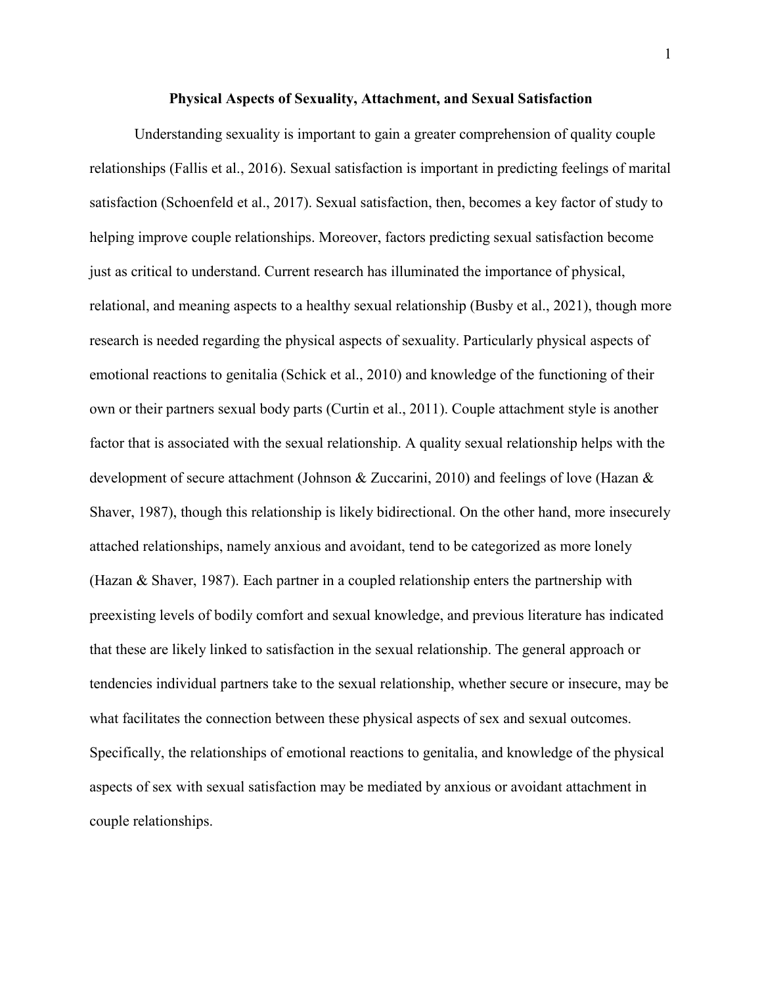#### **Physical Aspects of Sexuality, Attachment, and Sexual Satisfaction**

<span id="page-8-0"></span>Understanding sexuality is important to gain a greater comprehension of quality couple relationships (Fallis et al., 2016). Sexual satisfaction is important in predicting feelings of marital satisfaction (Schoenfeld et al., 2017). Sexual satisfaction, then, becomes a key factor of study to helping improve couple relationships. Moreover, factors predicting sexual satisfaction become just as critical to understand. Current research has illuminated the importance of physical, relational, and meaning aspects to a healthy sexual relationship (Busby et al., 2021), though more research is needed regarding the physical aspects of sexuality. Particularly physical aspects of emotional reactions to genitalia (Schick et al., 2010) and knowledge of the functioning of their own or their partners sexual body parts (Curtin et al., 2011). Couple attachment style is another factor that is associated with the sexual relationship. A quality sexual relationship helps with the development of secure attachment (Johnson & Zuccarini, 2010) and feelings of love (Hazan & Shaver, 1987), though this relationship is likely bidirectional. On the other hand, more insecurely attached relationships, namely anxious and avoidant, tend to be categorized as more lonely (Hazan & Shaver, 1987). Each partner in a coupled relationship enters the partnership with preexisting levels of bodily comfort and sexual knowledge, and previous literature has indicated that these are likely linked to satisfaction in the sexual relationship. The general approach or tendencies individual partners take to the sexual relationship, whether secure or insecure, may be what facilitates the connection between these physical aspects of sex and sexual outcomes. Specifically, the relationships of emotional reactions to genitalia, and knowledge of the physical aspects of sex with sexual satisfaction may be mediated by anxious or avoidant attachment in couple relationships.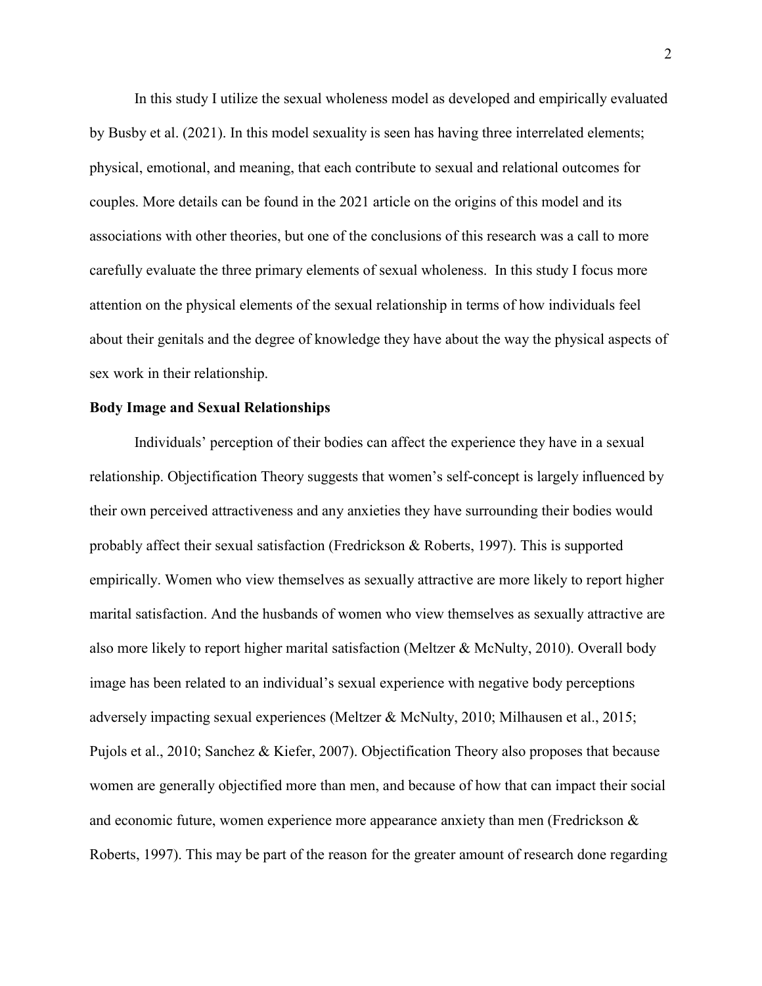In this study I utilize the sexual wholeness model as developed and empirically evaluated by Busby et al. (2021). In this model sexuality is seen has having three interrelated elements; physical, emotional, and meaning, that each contribute to sexual and relational outcomes for couples. More details can be found in the 2021 article on the origins of this model and its associations with other theories, but one of the conclusions of this research was a call to more carefully evaluate the three primary elements of sexual wholeness. In this study I focus more attention on the physical elements of the sexual relationship in terms of how individuals feel about their genitals and the degree of knowledge they have about the way the physical aspects of sex work in their relationship.

#### <span id="page-9-0"></span>**Body Image and Sexual Relationships**

Individuals' perception of their bodies can affect the experience they have in a sexual relationship. Objectification Theory suggests that women's self-concept is largely influenced by their own perceived attractiveness and any anxieties they have surrounding their bodies would probably affect their sexual satisfaction (Fredrickson & Roberts, 1997). This is supported empirically. Women who view themselves as sexually attractive are more likely to report higher marital satisfaction. And the husbands of women who view themselves as sexually attractive are also more likely to report higher marital satisfaction (Meltzer & McNulty, 2010). Overall body image has been related to an individual's sexual experience with negative body perceptions adversely impacting sexual experiences (Meltzer & McNulty, 2010; Milhausen et al., 2015; Pujols et al., 2010; Sanchez & Kiefer, 2007). Objectification Theory also proposes that because women are generally objectified more than men, and because of how that can impact their social and economic future, women experience more appearance anxiety than men (Fredrickson & Roberts, 1997). This may be part of the reason for the greater amount of research done regarding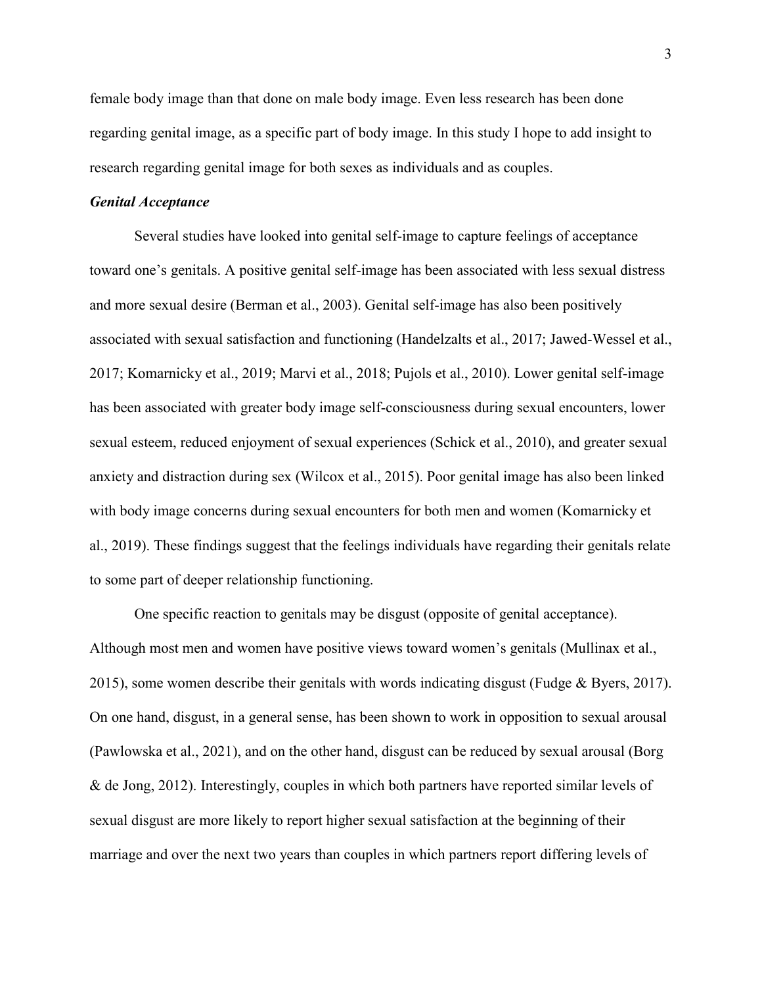female body image than that done on male body image. Even less research has been done regarding genital image, as a specific part of body image. In this study I hope to add insight to research regarding genital image for both sexes as individuals and as couples.

#### <span id="page-10-0"></span>*Genital Acceptance*

Several studies have looked into genital self-image to capture feelings of acceptance toward one's genitals. A positive genital self-image has been associated with less sexual distress and more sexual desire (Berman et al., 2003). Genital self-image has also been positively associated with sexual satisfaction and functioning (Handelzalts et al., 2017; Jawed-Wessel et al., 2017; Komarnicky et al., 2019; Marvi et al., 2018; Pujols et al., 2010). Lower genital self-image has been associated with greater body image self-consciousness during sexual encounters, lower sexual esteem, reduced enjoyment of sexual experiences (Schick et al., 2010), and greater sexual anxiety and distraction during sex (Wilcox et al., 2015). Poor genital image has also been linked with body image concerns during sexual encounters for both men and women (Komarnicky et al., 2019). These findings suggest that the feelings individuals have regarding their genitals relate to some part of deeper relationship functioning.

One specific reaction to genitals may be disgust (opposite of genital acceptance). Although most men and women have positive views toward women's genitals (Mullinax et al., 2015), some women describe their genitals with words indicating disgust (Fudge & Byers, 2017). On one hand, disgust, in a general sense, has been shown to work in opposition to sexual arousal (Pawlowska et al., 2021), and on the other hand, disgust can be reduced by sexual arousal (Borg & de Jong, 2012). Interestingly, couples in which both partners have reported similar levels of sexual disgust are more likely to report higher sexual satisfaction at the beginning of their marriage and over the next two years than couples in which partners report differing levels of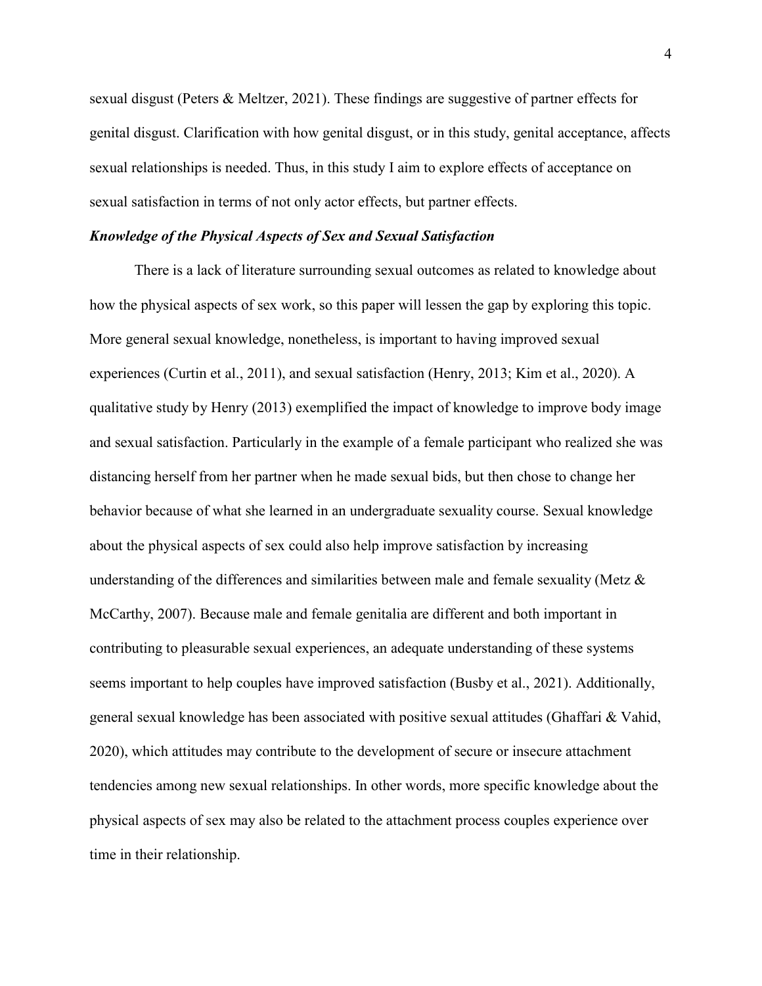sexual disgust (Peters & Meltzer, 2021). These findings are suggestive of partner effects for genital disgust. Clarification with how genital disgust, or in this study, genital acceptance, affects sexual relationships is needed. Thus, in this study I aim to explore effects of acceptance on sexual satisfaction in terms of not only actor effects, but partner effects.

# <span id="page-11-0"></span>*Knowledge of the Physical Aspects of Sex and Sexual Satisfaction*

There is a lack of literature surrounding sexual outcomes as related to knowledge about how the physical aspects of sex work, so this paper will lessen the gap by exploring this topic. More general sexual knowledge, nonetheless, is important to having improved sexual experiences (Curtin et al., 2011), and sexual satisfaction (Henry, 2013; Kim et al., 2020). A qualitative study by Henry (2013) exemplified the impact of knowledge to improve body image and sexual satisfaction. Particularly in the example of a female participant who realized she was distancing herself from her partner when he made sexual bids, but then chose to change her behavior because of what she learned in an undergraduate sexuality course. Sexual knowledge about the physical aspects of sex could also help improve satisfaction by increasing understanding of the differences and similarities between male and female sexuality (Metz & McCarthy, 2007). Because male and female genitalia are different and both important in contributing to pleasurable sexual experiences, an adequate understanding of these systems seems important to help couples have improved satisfaction (Busby et al., 2021). Additionally, general sexual knowledge has been associated with positive sexual attitudes (Ghaffari & Vahid, 2020), which attitudes may contribute to the development of secure or insecure attachment tendencies among new sexual relationships. In other words, more specific knowledge about the physical aspects of sex may also be related to the attachment process couples experience over time in their relationship.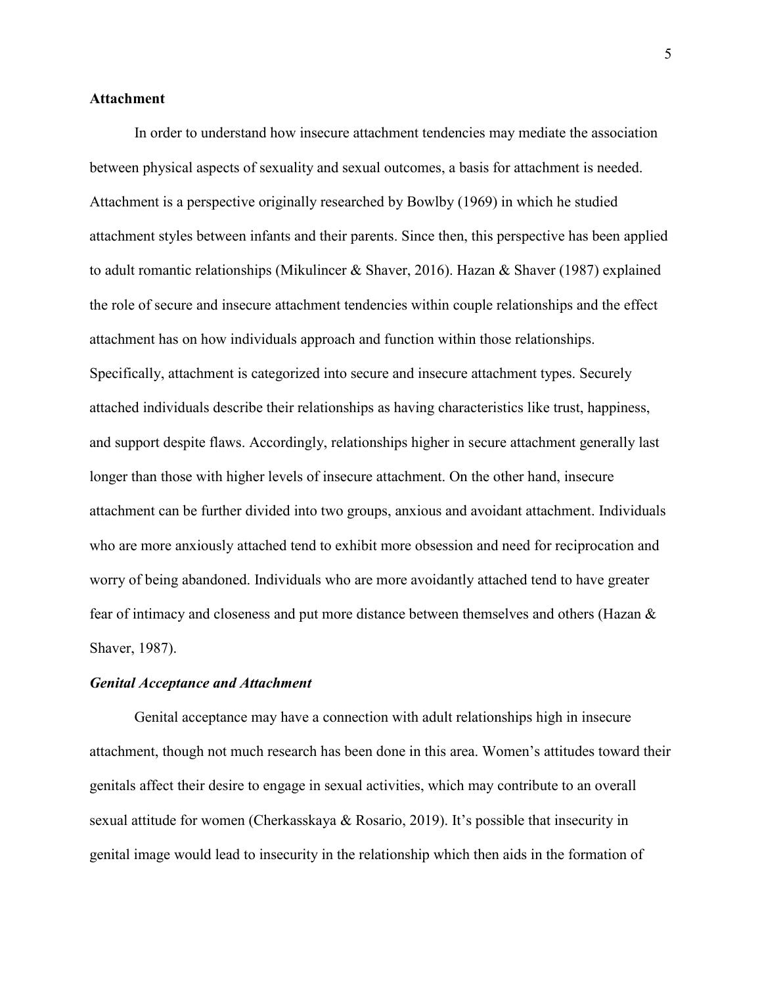## <span id="page-12-0"></span>**Attachment**

In order to understand how insecure attachment tendencies may mediate the association between physical aspects of sexuality and sexual outcomes, a basis for attachment is needed. Attachment is a perspective originally researched by Bowlby (1969) in which he studied attachment styles between infants and their parents. Since then, this perspective has been applied to adult romantic relationships (Mikulincer & Shaver, 2016). Hazan & Shaver (1987) explained the role of secure and insecure attachment tendencies within couple relationships and the effect attachment has on how individuals approach and function within those relationships. Specifically, attachment is categorized into secure and insecure attachment types. Securely attached individuals describe their relationships as having characteristics like trust, happiness, and support despite flaws. Accordingly, relationships higher in secure attachment generally last longer than those with higher levels of insecure attachment. On the other hand, insecure attachment can be further divided into two groups, anxious and avoidant attachment. Individuals who are more anxiously attached tend to exhibit more obsession and need for reciprocation and worry of being abandoned. Individuals who are more avoidantly attached tend to have greater fear of intimacy and closeness and put more distance between themselves and others (Hazan & Shaver, 1987).

#### <span id="page-12-1"></span>*Genital Acceptance and Attachment*

Genital acceptance may have a connection with adult relationships high in insecure attachment, though not much research has been done in this area. Women's attitudes toward their genitals affect their desire to engage in sexual activities, which may contribute to an overall sexual attitude for women (Cherkasskaya & Rosario, 2019). It's possible that insecurity in genital image would lead to insecurity in the relationship which then aids in the formation of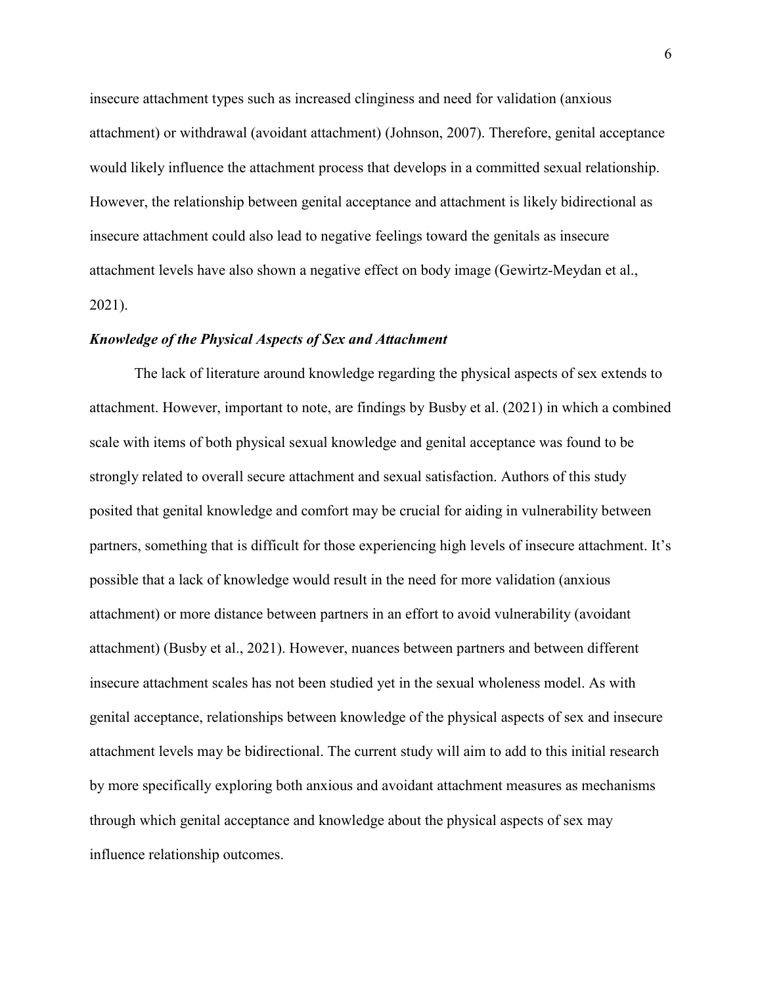insecure attachment types such as increased clinginess and need for validation (anxious attachment) or withdrawal (avoidant attachment) (Johnson, 2007). Therefore, genital acceptance would likely influence the attachment process that develops in a committed sexual relationship. However, the relationship between genital acceptance and attachment is likely bidirectional as insecure attachment could also lead to negative feelings toward the genitals as insecure attachment levels have also shown a negative effect on body image (Gewirtz-Meydan et al., 2021).

#### <span id="page-13-0"></span>*Knowledge of the Physical Aspects of Sex and Attachment*

The lack of literature around knowledge regarding the physical aspects of sex extends to attachment. However, important to note, are findings by Busby et al. (2021) in which a combined scale with items of both physical sexual knowledge and genital acceptance was found to be strongly related to overall secure attachment and sexual satisfaction. Authors of this study posited that genital knowledge and comfort may be crucial for aiding in vulnerability between partners, something that is difficult for those experiencing high levels of insecure attachment. It's possible that a lack of knowledge would result in the need for more validation (anxious attachment) or more distance between partners in an effort to avoid vulnerability (avoidant attachment) (Busby et al., 2021). However, nuances between partners and between different insecure attachment scales has not been studied yet in the sexual wholeness model. As with genital acceptance, relationships between knowledge of the physical aspects of sex and insecure attachment levels may be bidirectional. The current study will aim to add to this initial research by more specifically exploring both anxious and avoidant attachment measures as mechanisms through which genital acceptance and knowledge about the physical aspects of sex may influence relationship outcomes.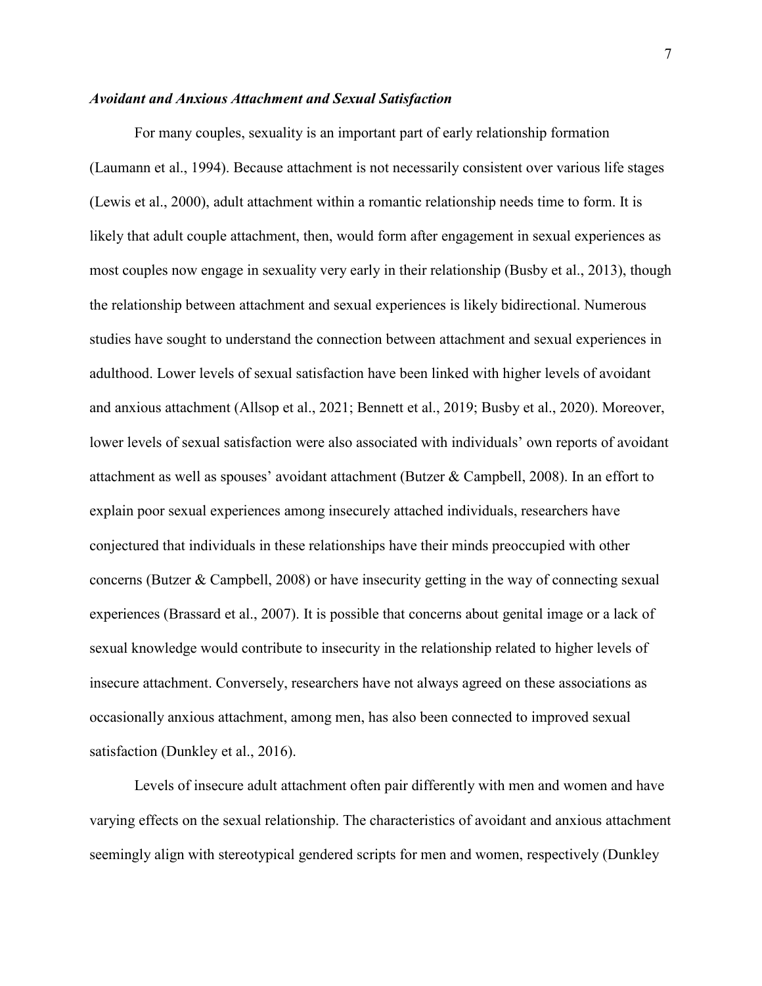## <span id="page-14-0"></span>*Avoidant and Anxious Attachment and Sexual Satisfaction*

For many couples, sexuality is an important part of early relationship formation (Laumann et al., 1994). Because attachment is not necessarily consistent over various life stages (Lewis et al., 2000), adult attachment within a romantic relationship needs time to form. It is likely that adult couple attachment, then, would form after engagement in sexual experiences as most couples now engage in sexuality very early in their relationship (Busby et al., 2013), though the relationship between attachment and sexual experiences is likely bidirectional. Numerous studies have sought to understand the connection between attachment and sexual experiences in adulthood. Lower levels of sexual satisfaction have been linked with higher levels of avoidant and anxious attachment (Allsop et al., 2021; Bennett et al., 2019; Busby et al., 2020). Moreover, lower levels of sexual satisfaction were also associated with individuals' own reports of avoidant attachment as well as spouses' avoidant attachment (Butzer & Campbell, 2008). In an effort to explain poor sexual experiences among insecurely attached individuals, researchers have conjectured that individuals in these relationships have their minds preoccupied with other concerns (Butzer & Campbell, 2008) or have insecurity getting in the way of connecting sexual experiences (Brassard et al., 2007). It is possible that concerns about genital image or a lack of sexual knowledge would contribute to insecurity in the relationship related to higher levels of insecure attachment. Conversely, researchers have not always agreed on these associations as occasionally anxious attachment, among men, has also been connected to improved sexual satisfaction (Dunkley et al., 2016).

Levels of insecure adult attachment often pair differently with men and women and have varying effects on the sexual relationship. The characteristics of avoidant and anxious attachment seemingly align with stereotypical gendered scripts for men and women, respectively (Dunkley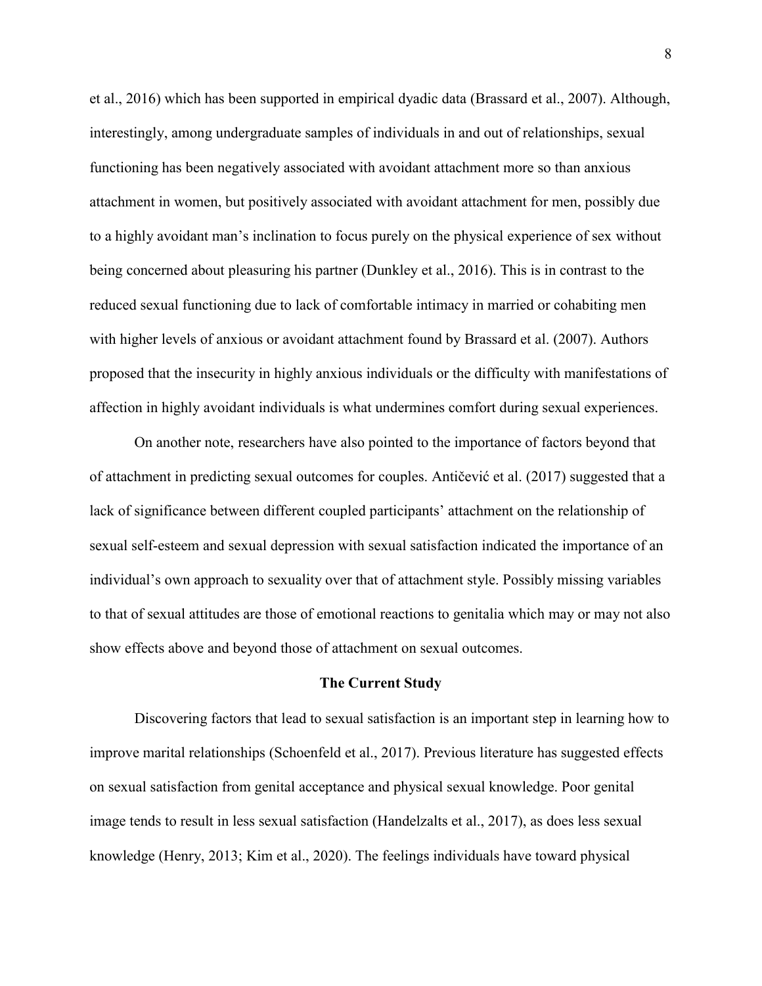et al., 2016) which has been supported in empirical dyadic data (Brassard et al., 2007). Although, interestingly, among undergraduate samples of individuals in and out of relationships, sexual functioning has been negatively associated with avoidant attachment more so than anxious attachment in women, but positively associated with avoidant attachment for men, possibly due to a highly avoidant man's inclination to focus purely on the physical experience of sex without being concerned about pleasuring his partner (Dunkley et al., 2016). This is in contrast to the reduced sexual functioning due to lack of comfortable intimacy in married or cohabiting men with higher levels of anxious or avoidant attachment found by Brassard et al. (2007). Authors proposed that the insecurity in highly anxious individuals or the difficulty with manifestations of affection in highly avoidant individuals is what undermines comfort during sexual experiences.

On another note, researchers have also pointed to the importance of factors beyond that of attachment in predicting sexual outcomes for couples. Antičević et al. (2017) suggested that a lack of significance between different coupled participants' attachment on the relationship of sexual self-esteem and sexual depression with sexual satisfaction indicated the importance of an individual's own approach to sexuality over that of attachment style. Possibly missing variables to that of sexual attitudes are those of emotional reactions to genitalia which may or may not also show effects above and beyond those of attachment on sexual outcomes.

#### **The Current Study**

<span id="page-15-0"></span>Discovering factors that lead to sexual satisfaction is an important step in learning how to improve marital relationships (Schoenfeld et al., 2017). Previous literature has suggested effects on sexual satisfaction from genital acceptance and physical sexual knowledge. Poor genital image tends to result in less sexual satisfaction (Handelzalts et al., 2017), as does less sexual knowledge (Henry, 2013; Kim et al., 2020). The feelings individuals have toward physical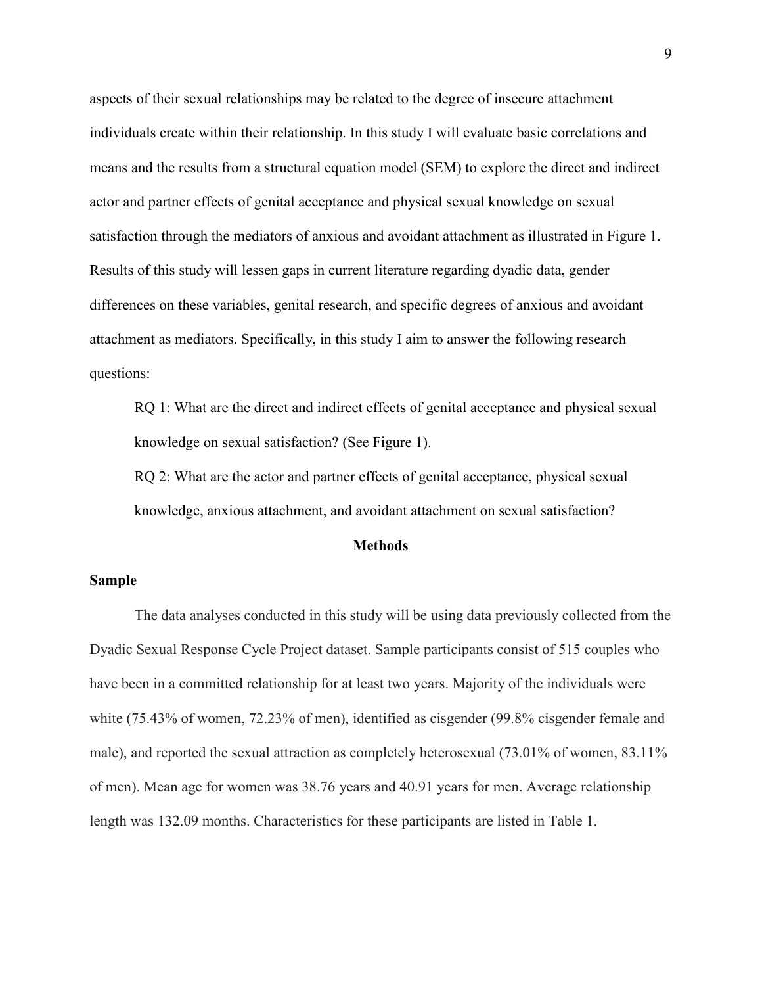aspects of their sexual relationships may be related to the degree of insecure attachment individuals create within their relationship. In this study I will evaluate basic correlations and means and the results from a structural equation model (SEM) to explore the direct and indirect actor and partner effects of genital acceptance and physical sexual knowledge on sexual satisfaction through the mediators of anxious and avoidant attachment as illustrated in Figure 1. Results of this study will lessen gaps in current literature regarding dyadic data, gender differences on these variables, genital research, and specific degrees of anxious and avoidant attachment as mediators. Specifically, in this study I aim to answer the following research questions:

RQ 1: What are the direct and indirect effects of genital acceptance and physical sexual knowledge on sexual satisfaction? (See Figure 1).

RQ 2: What are the actor and partner effects of genital acceptance, physical sexual knowledge, anxious attachment, and avoidant attachment on sexual satisfaction?

#### **Methods**

# <span id="page-16-1"></span><span id="page-16-0"></span>**Sample**

<span id="page-16-2"></span>The data analyses conducted in this study will be using data previously collected from the Dyadic Sexual Response Cycle Project dataset. Sample participants consist of 515 couples who have been in a committed relationship for at least two years. Majority of the individuals were white (75.43% of women, 72.23% of men), identified as cisgender (99.8% cisgender female and male), and reported the sexual attraction as completely heterosexual (73.01% of women, 83.11% of men). Mean age for women was 38.76 years and 40.91 years for men. Average relationship length was 132.09 months. Characteristics for these participants are listed in Table 1.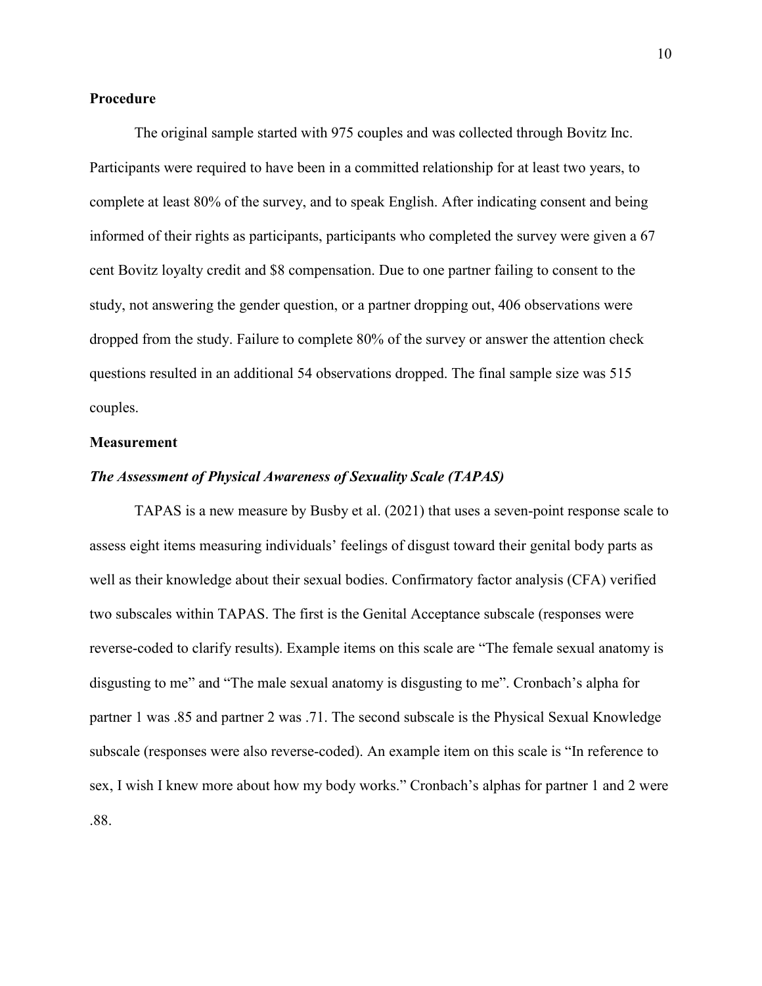## **Procedure**

The original sample started with 975 couples and was collected through Bovitz Inc. Participants were required to have been in a committed relationship for at least two years, to complete at least 80% of the survey, and to speak English. After indicating consent and being informed of their rights as participants, participants who completed the survey were given a 67 cent Bovitz loyalty credit and \$8 compensation. Due to one partner failing to consent to the study, not answering the gender question, or a partner dropping out, 406 observations were dropped from the study. Failure to complete 80% of the survey or answer the attention check questions resulted in an additional 54 observations dropped. The final sample size was 515 couples.

#### <span id="page-17-0"></span>**Measurement**

## <span id="page-17-1"></span>*The Assessment of Physical Awareness of Sexuality Scale (TAPAS)*

<span id="page-17-2"></span>TAPAS is a new measure by Busby et al. (2021) that uses a seven-point response scale to assess eight items measuring individuals' feelings of disgust toward their genital body parts as well as their knowledge about their sexual bodies. Confirmatory factor analysis (CFA) verified two subscales within TAPAS. The first is the Genital Acceptance subscale (responses were reverse-coded to clarify results). Example items on this scale are "The female sexual anatomy is disgusting to me" and "The male sexual anatomy is disgusting to me". Cronbach's alpha for partner 1 was .85 and partner 2 was .71. The second subscale is the Physical Sexual Knowledge subscale (responses were also reverse-coded). An example item on this scale is "In reference to sex, I wish I knew more about how my body works." Cronbach's alphas for partner 1 and 2 were .88.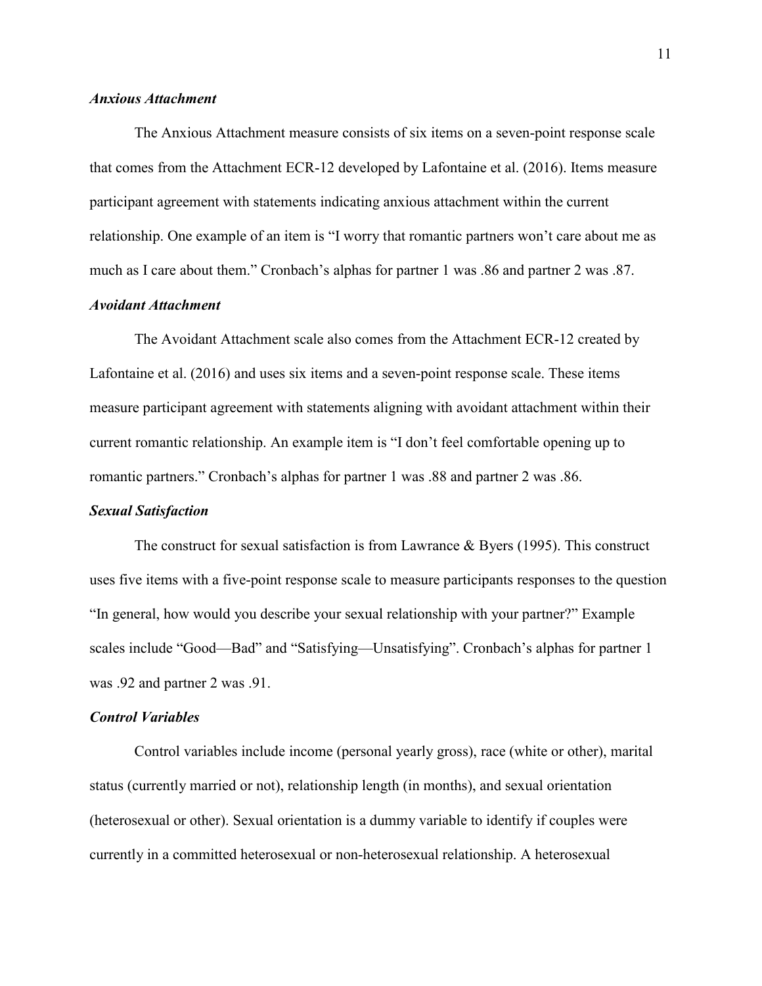## *Anxious Attachment*

The Anxious Attachment measure consists of six items on a seven-point response scale that comes from the Attachment ECR-12 developed by Lafontaine et al. (2016). Items measure participant agreement with statements indicating anxious attachment within the current relationship. One example of an item is "I worry that romantic partners won't care about me as much as I care about them." Cronbach's alphas for partner 1 was .86 and partner 2 was .87.

# <span id="page-18-0"></span>*Avoidant Attachment*

The Avoidant Attachment scale also comes from the Attachment ECR-12 created by Lafontaine et al. (2016) and uses six items and a seven-point response scale. These items measure participant agreement with statements aligning with avoidant attachment within their current romantic relationship. An example item is "I don't feel comfortable opening up to romantic partners." Cronbach's alphas for partner 1 was .88 and partner 2 was .86.

## <span id="page-18-1"></span>*Sexual Satisfaction*

The construct for sexual satisfaction is from Lawrance  $\&$  Byers (1995). This construct uses five items with a five-point response scale to measure participants responses to the question "In general, how would you describe your sexual relationship with your partner?" Example scales include "Good—Bad" and "Satisfying—Unsatisfying". Cronbach's alphas for partner 1 was .92 and partner 2 was .91.

#### <span id="page-18-2"></span>*Control Variables*

Control variables include income (personal yearly gross), race (white or other), marital status (currently married or not), relationship length (in months), and sexual orientation (heterosexual or other). Sexual orientation is a dummy variable to identify if couples were currently in a committed heterosexual or non-heterosexual relationship. A heterosexual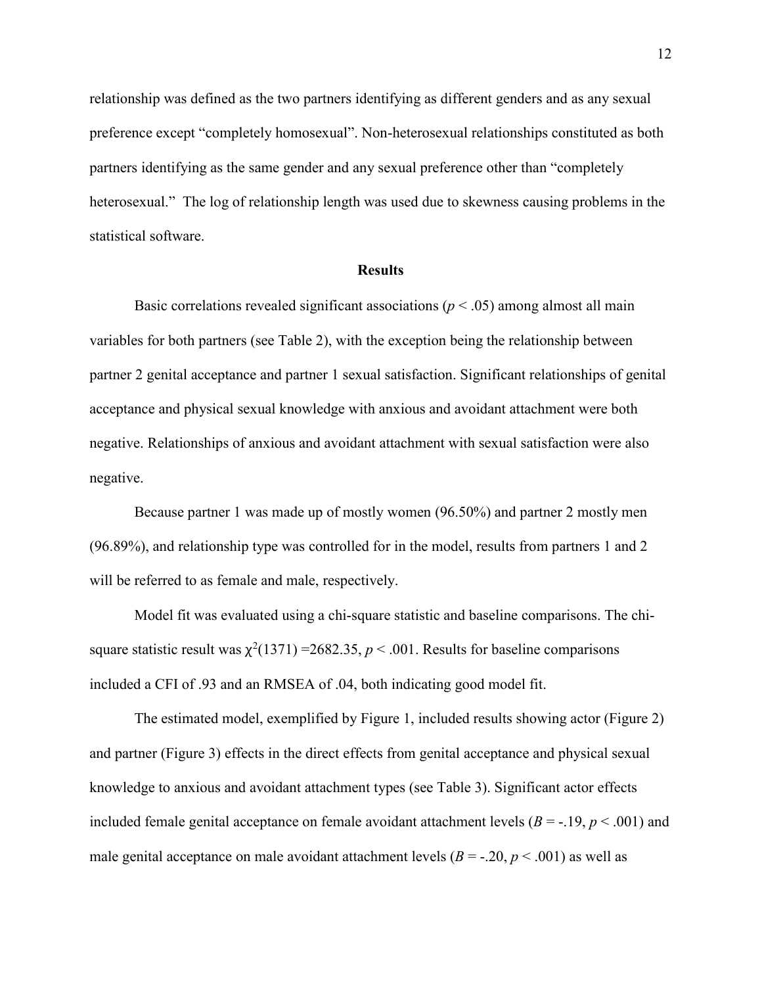relationship was defined as the two partners identifying as different genders and as any sexual preference except "completely homosexual". Non-heterosexual relationships constituted as both partners identifying as the same gender and any sexual preference other than "completely heterosexual." The log of relationship length was used due to skewness causing problems in the statistical software.

#### **Results**

<span id="page-19-0"></span>Basic correlations revealed significant associations ( $p < .05$ ) among almost all main variables for both partners (see Table 2), with the exception being the relationship between partner 2 genital acceptance and partner 1 sexual satisfaction. Significant relationships of genital acceptance and physical sexual knowledge with anxious and avoidant attachment were both negative. Relationships of anxious and avoidant attachment with sexual satisfaction were also negative.

Because partner 1 was made up of mostly women (96.50%) and partner 2 mostly men (96.89%), and relationship type was controlled for in the model, results from partners 1 and 2 will be referred to as female and male, respectively.

Model fit was evaluated using a chi-square statistic and baseline comparisons. The chisquare statistic result was  $\chi^2(1371) = 2682.35, p < .001$ . Results for baseline comparisons included a CFI of .93 and an RMSEA of .04, both indicating good model fit.

The estimated model, exemplified by Figure 1, included results showing actor (Figure 2) and partner (Figure 3) effects in the direct effects from genital acceptance and physical sexual knowledge to anxious and avoidant attachment types (see Table 3). Significant actor effects included female genital acceptance on female avoidant attachment levels  $(B = -19, p < .001)$  and male genital acceptance on male avoidant attachment levels  $(B = -0.20, p < 0.001)$  as well as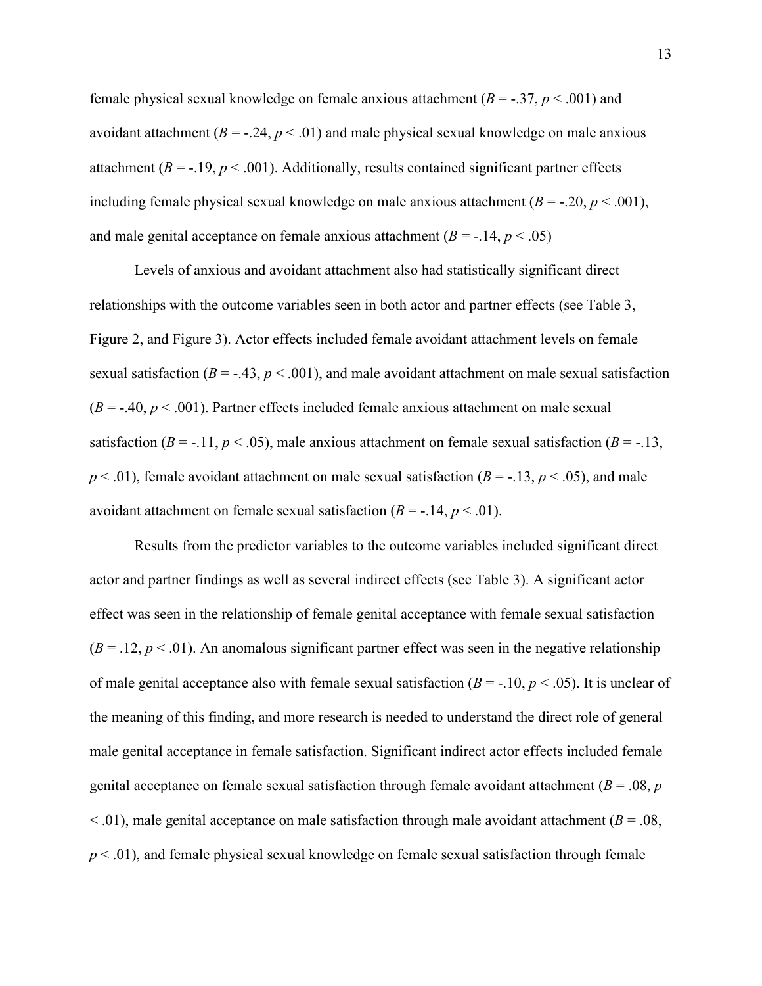female physical sexual knowledge on female anxious attachment (*B* = -.37, *p* < .001) and avoidant attachment  $(B = -0.24, p < 0.01)$  and male physical sexual knowledge on male anxious attachment  $(B = -19, p < .001)$ . Additionally, results contained significant partner effects including female physical sexual knowledge on male anxious attachment  $(B = -0.20, p < 0.001)$ , and male genital acceptance on female anxious attachment  $(B = -14, p < .05)$ 

Levels of anxious and avoidant attachment also had statistically significant direct relationships with the outcome variables seen in both actor and partner effects (see Table 3, Figure 2, and Figure 3). Actor effects included female avoidant attachment levels on female sexual satisfaction ( $B = -.43$ ,  $p < .001$ ), and male avoidant attachment on male sexual satisfaction  $(B = -0.40, p < 0.001)$ . Partner effects included female anxious attachment on male sexual satisfaction ( $B = -11$ ,  $p < .05$ ), male anxious attachment on female sexual satisfaction ( $B = -13$ ,  $p < .01$ ), female avoidant attachment on male sexual satisfaction ( $B = -.13$ ,  $p < .05$ ), and male avoidant attachment on female sexual satisfaction  $(B = -14, p < 0.01)$ .

Results from the predictor variables to the outcome variables included significant direct actor and partner findings as well as several indirect effects (see Table 3). A significant actor effect was seen in the relationship of female genital acceptance with female sexual satisfaction  $(B = .12, p < .01)$ . An anomalous significant partner effect was seen in the negative relationship of male genital acceptance also with female sexual satisfaction  $(B = -10, p < .05)$ . It is unclear of the meaning of this finding, and more research is needed to understand the direct role of general male genital acceptance in female satisfaction. Significant indirect actor effects included female genital acceptance on female sexual satisfaction through female avoidant attachment (*B* = .08, *p*  $<$  0.01), male genital acceptance on male satisfaction through male avoidant attachment ( $B = 0.08$ , *p* < .01), and female physical sexual knowledge on female sexual satisfaction through female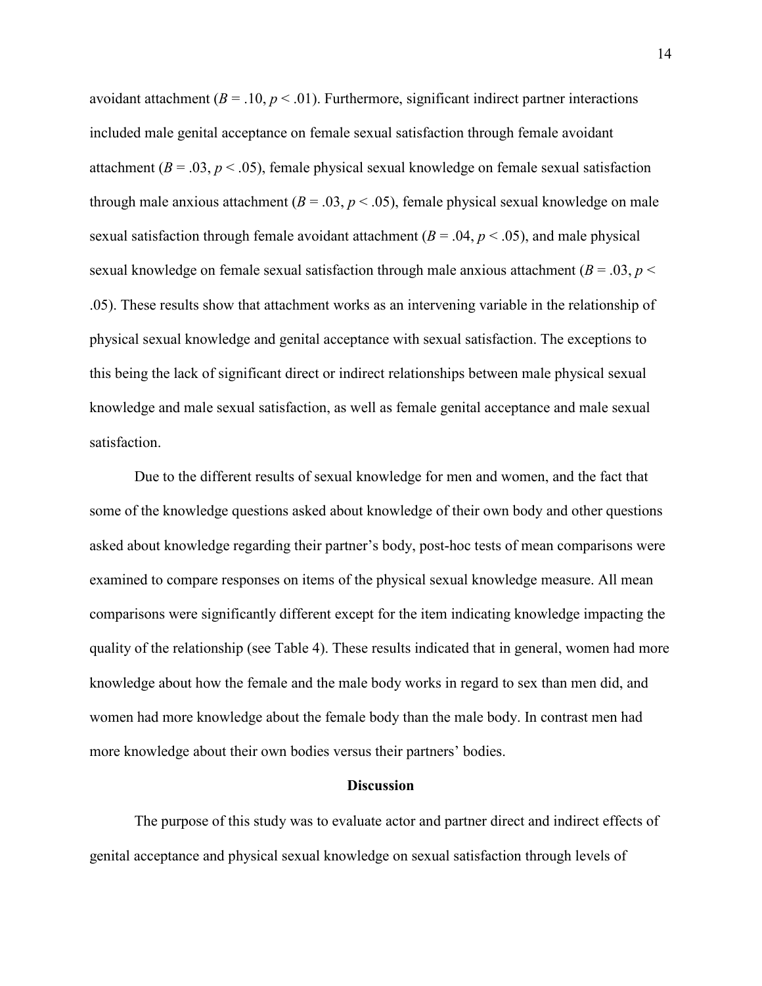avoidant attachment  $(B = .10, p < .01)$ . Furthermore, significant indirect partner interactions included male genital acceptance on female sexual satisfaction through female avoidant attachment ( $B = .03$ ,  $p < .05$ ), female physical sexual knowledge on female sexual satisfaction through male anxious attachment ( $B = .03$ ,  $p < .05$ ), female physical sexual knowledge on male sexual satisfaction through female avoidant attachment  $(B = .04, p < .05)$ , and male physical sexual knowledge on female sexual satisfaction through male anxious attachment ( $B = .03$ ,  $p <$ .05). These results show that attachment works as an intervening variable in the relationship of physical sexual knowledge and genital acceptance with sexual satisfaction. The exceptions to this being the lack of significant direct or indirect relationships between male physical sexual knowledge and male sexual satisfaction, as well as female genital acceptance and male sexual satisfaction.

Due to the different results of sexual knowledge for men and women, and the fact that some of the knowledge questions asked about knowledge of their own body and other questions asked about knowledge regarding their partner's body, post-hoc tests of mean comparisons were examined to compare responses on items of the physical sexual knowledge measure. All mean comparisons were significantly different except for the item indicating knowledge impacting the quality of the relationship (see Table 4). These results indicated that in general, women had more knowledge about how the female and the male body works in regard to sex than men did, and women had more knowledge about the female body than the male body. In contrast men had more knowledge about their own bodies versus their partners' bodies.

#### **Discussion**

<span id="page-21-0"></span>The purpose of this study was to evaluate actor and partner direct and indirect effects of genital acceptance and physical sexual knowledge on sexual satisfaction through levels of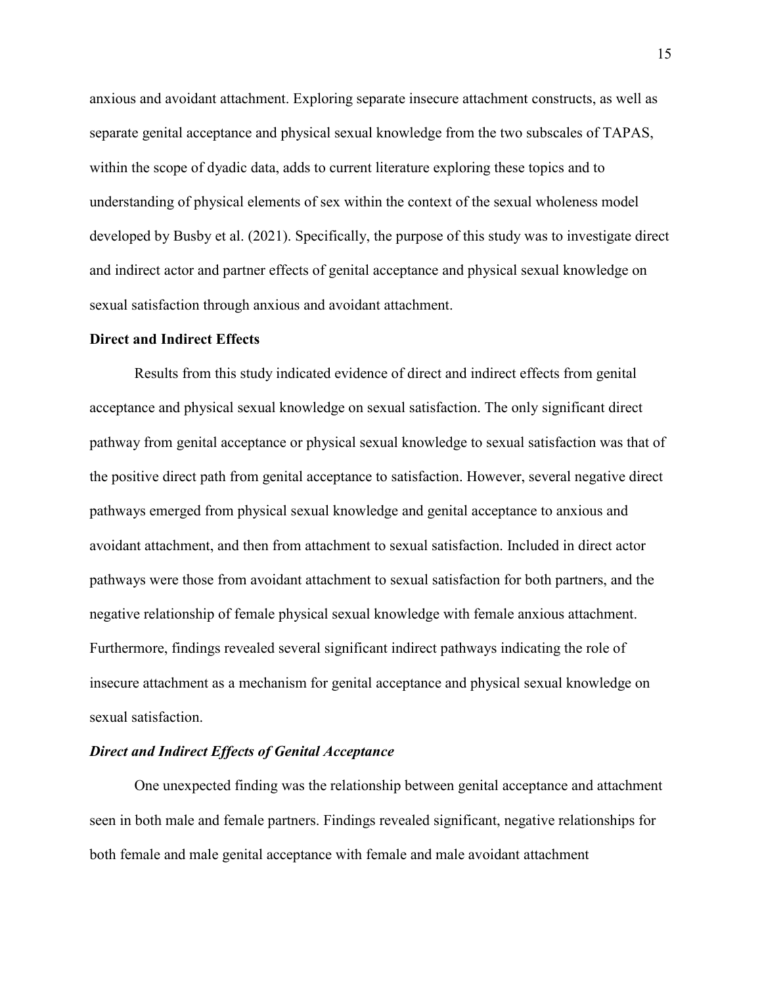anxious and avoidant attachment. Exploring separate insecure attachment constructs, as well as separate genital acceptance and physical sexual knowledge from the two subscales of TAPAS, within the scope of dyadic data, adds to current literature exploring these topics and to understanding of physical elements of sex within the context of the sexual wholeness model developed by Busby et al. (2021). Specifically, the purpose of this study was to investigate direct and indirect actor and partner effects of genital acceptance and physical sexual knowledge on sexual satisfaction through anxious and avoidant attachment.

#### <span id="page-22-0"></span>**Direct and Indirect Effects**

Results from this study indicated evidence of direct and indirect effects from genital acceptance and physical sexual knowledge on sexual satisfaction. The only significant direct pathway from genital acceptance or physical sexual knowledge to sexual satisfaction was that of the positive direct path from genital acceptance to satisfaction. However, several negative direct pathways emerged from physical sexual knowledge and genital acceptance to anxious and avoidant attachment, and then from attachment to sexual satisfaction. Included in direct actor pathways were those from avoidant attachment to sexual satisfaction for both partners, and the negative relationship of female physical sexual knowledge with female anxious attachment. Furthermore, findings revealed several significant indirect pathways indicating the role of insecure attachment as a mechanism for genital acceptance and physical sexual knowledge on sexual satisfaction.

#### <span id="page-22-1"></span>*Direct and Indirect Effects of Genital Acceptance*

One unexpected finding was the relationship between genital acceptance and attachment seen in both male and female partners. Findings revealed significant, negative relationships for both female and male genital acceptance with female and male avoidant attachment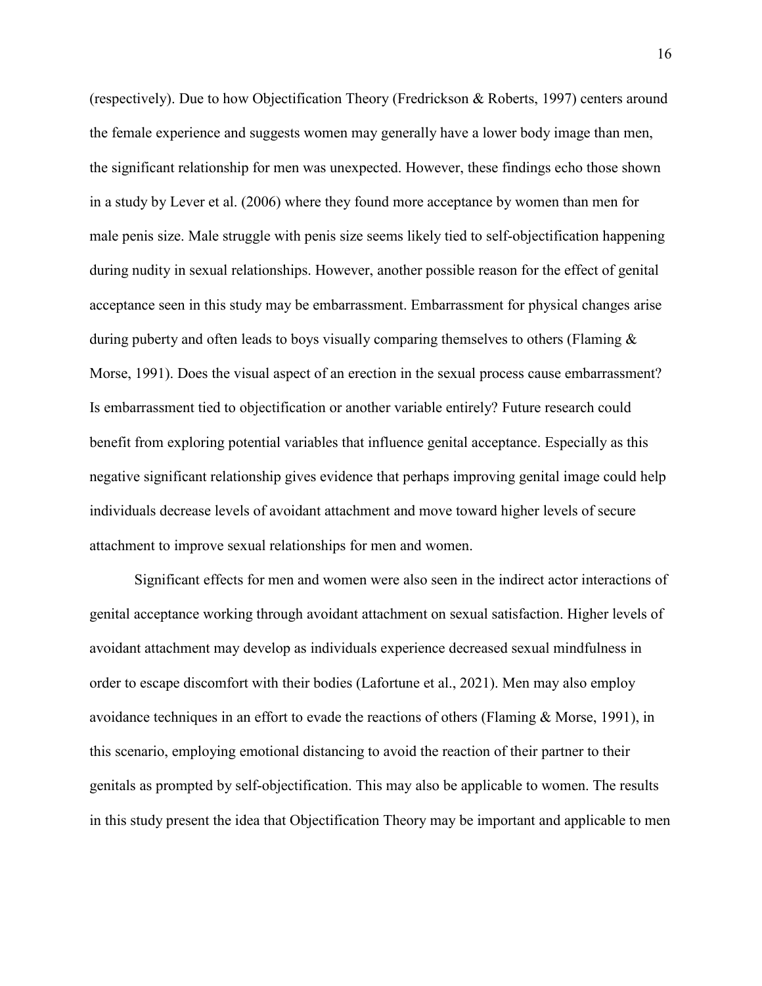(respectively). Due to how Objectification Theory (Fredrickson & Roberts, 1997) centers around the female experience and suggests women may generally have a lower body image than men, the significant relationship for men was unexpected. However, these findings echo those shown in a study by Lever et al. (2006) where they found more acceptance by women than men for male penis size. Male struggle with penis size seems likely tied to self-objectification happening during nudity in sexual relationships. However, another possible reason for the effect of genital acceptance seen in this study may be embarrassment. Embarrassment for physical changes arise during puberty and often leads to boys visually comparing themselves to others (Flaming & Morse, 1991). Does the visual aspect of an erection in the sexual process cause embarrassment? Is embarrassment tied to objectification or another variable entirely? Future research could benefit from exploring potential variables that influence genital acceptance. Especially as this negative significant relationship gives evidence that perhaps improving genital image could help individuals decrease levels of avoidant attachment and move toward higher levels of secure attachment to improve sexual relationships for men and women.

Significant effects for men and women were also seen in the indirect actor interactions of genital acceptance working through avoidant attachment on sexual satisfaction. Higher levels of avoidant attachment may develop as individuals experience decreased sexual mindfulness in order to escape discomfort with their bodies (Lafortune et al., 2021). Men may also employ avoidance techniques in an effort to evade the reactions of others (Flaming & Morse, 1991), in this scenario, employing emotional distancing to avoid the reaction of their partner to their genitals as prompted by self-objectification. This may also be applicable to women. The results in this study present the idea that Objectification Theory may be important and applicable to men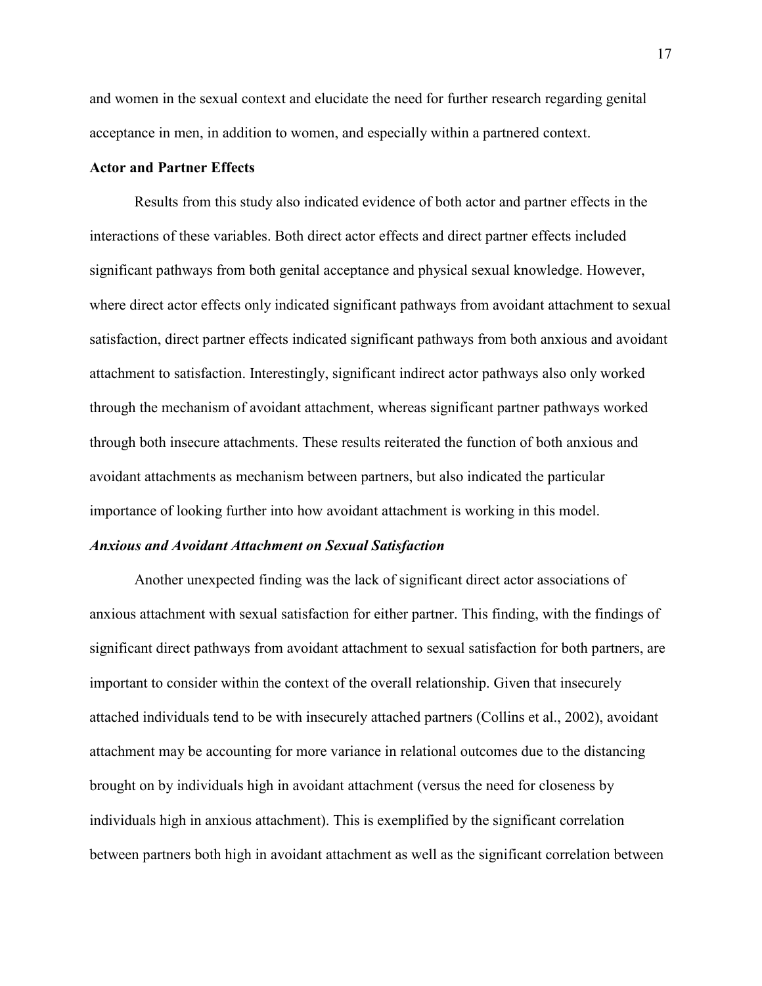and women in the sexual context and elucidate the need for further research regarding genital acceptance in men, in addition to women, and especially within a partnered context.

## <span id="page-24-0"></span>**Actor and Partner Effects**

Results from this study also indicated evidence of both actor and partner effects in the interactions of these variables. Both direct actor effects and direct partner effects included significant pathways from both genital acceptance and physical sexual knowledge. However, where direct actor effects only indicated significant pathways from avoidant attachment to sexual satisfaction, direct partner effects indicated significant pathways from both anxious and avoidant attachment to satisfaction. Interestingly, significant indirect actor pathways also only worked through the mechanism of avoidant attachment, whereas significant partner pathways worked through both insecure attachments. These results reiterated the function of both anxious and avoidant attachments as mechanism between partners, but also indicated the particular importance of looking further into how avoidant attachment is working in this model.

#### <span id="page-24-1"></span>*Anxious and Avoidant Attachment on Sexual Satisfaction*

Another unexpected finding was the lack of significant direct actor associations of anxious attachment with sexual satisfaction for either partner. This finding, with the findings of significant direct pathways from avoidant attachment to sexual satisfaction for both partners, are important to consider within the context of the overall relationship. Given that insecurely attached individuals tend to be with insecurely attached partners (Collins et al., 2002), avoidant attachment may be accounting for more variance in relational outcomes due to the distancing brought on by individuals high in avoidant attachment (versus the need for closeness by individuals high in anxious attachment). This is exemplified by the significant correlation between partners both high in avoidant attachment as well as the significant correlation between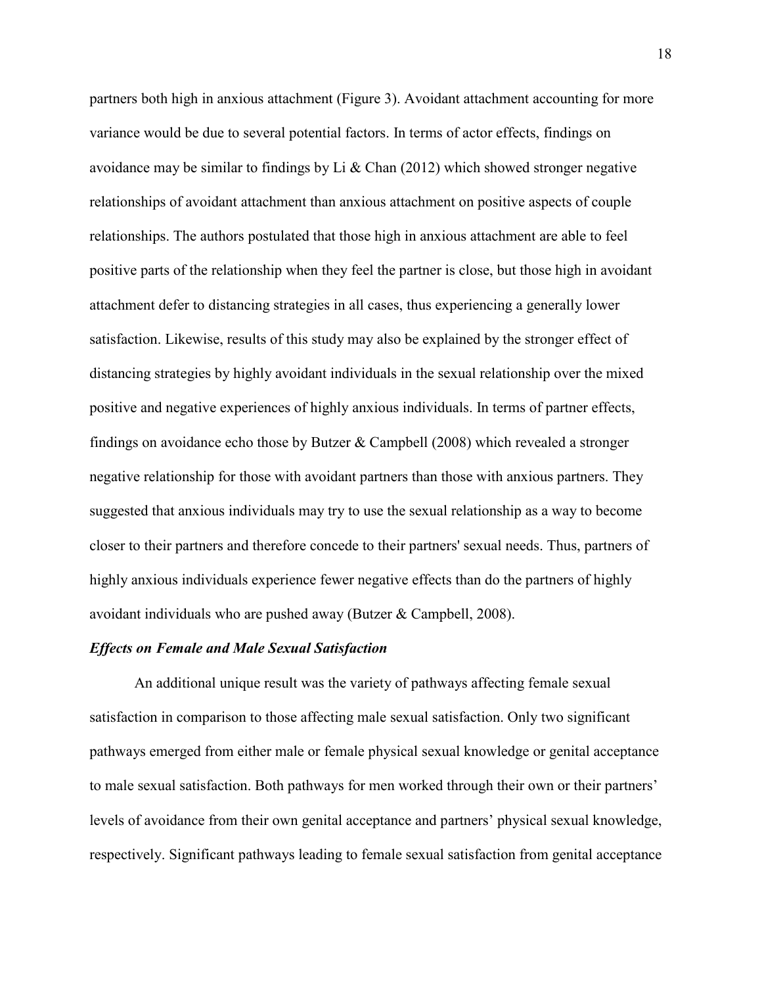partners both high in anxious attachment (Figure 3). Avoidant attachment accounting for more variance would be due to several potential factors. In terms of actor effects, findings on avoidance may be similar to findings by Li & Chan  $(2012)$  which showed stronger negative relationships of avoidant attachment than anxious attachment on positive aspects of couple relationships. The authors postulated that those high in anxious attachment are able to feel positive parts of the relationship when they feel the partner is close, but those high in avoidant attachment defer to distancing strategies in all cases, thus experiencing a generally lower satisfaction. Likewise, results of this study may also be explained by the stronger effect of distancing strategies by highly avoidant individuals in the sexual relationship over the mixed positive and negative experiences of highly anxious individuals. In terms of partner effects, findings on avoidance echo those by Butzer & Campbell (2008) which revealed a stronger negative relationship for those with avoidant partners than those with anxious partners. They suggested that anxious individuals may try to use the sexual relationship as a way to become closer to their partners and therefore concede to their partners' sexual needs. Thus, partners of highly anxious individuals experience fewer negative effects than do the partners of highly avoidant individuals who are pushed away (Butzer & Campbell, 2008).

# <span id="page-25-0"></span>*Effects on Female and Male Sexual Satisfaction*

An additional unique result was the variety of pathways affecting female sexual satisfaction in comparison to those affecting male sexual satisfaction. Only two significant pathways emerged from either male or female physical sexual knowledge or genital acceptance to male sexual satisfaction. Both pathways for men worked through their own or their partners' levels of avoidance from their own genital acceptance and partners' physical sexual knowledge, respectively. Significant pathways leading to female sexual satisfaction from genital acceptance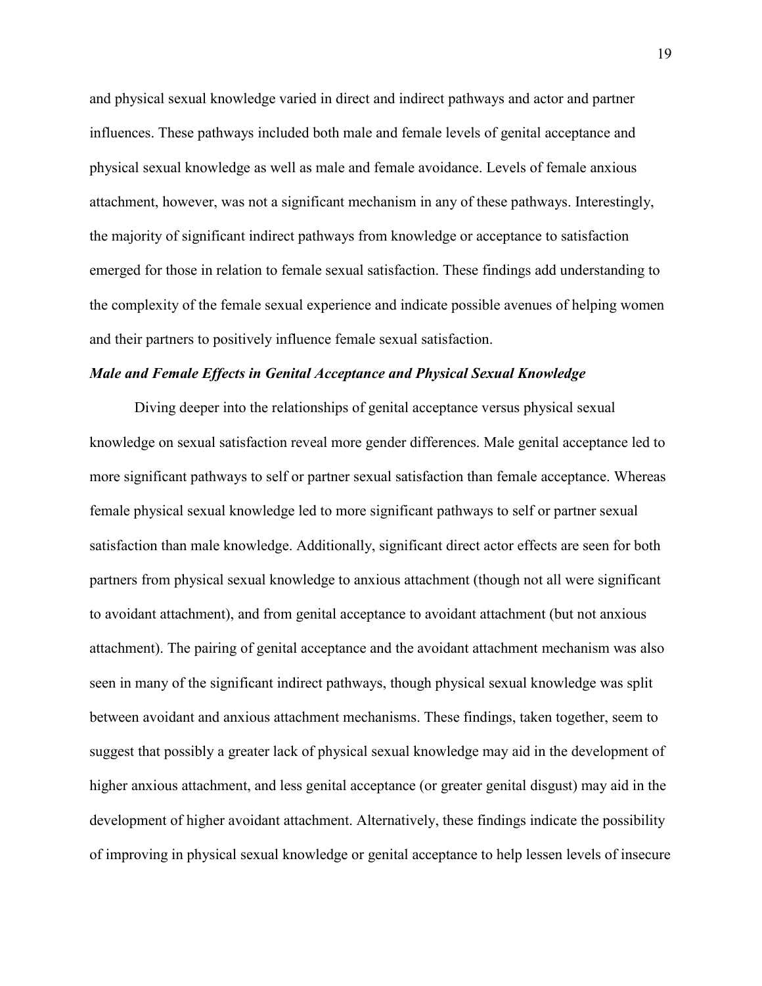and physical sexual knowledge varied in direct and indirect pathways and actor and partner influences. These pathways included both male and female levels of genital acceptance and physical sexual knowledge as well as male and female avoidance. Levels of female anxious attachment, however, was not a significant mechanism in any of these pathways. Interestingly, the majority of significant indirect pathways from knowledge or acceptance to satisfaction emerged for those in relation to female sexual satisfaction. These findings add understanding to the complexity of the female sexual experience and indicate possible avenues of helping women and their partners to positively influence female sexual satisfaction.

#### <span id="page-26-0"></span>*Male and Female Effects in Genital Acceptance and Physical Sexual Knowledge*

Diving deeper into the relationships of genital acceptance versus physical sexual knowledge on sexual satisfaction reveal more gender differences. Male genital acceptance led to more significant pathways to self or partner sexual satisfaction than female acceptance. Whereas female physical sexual knowledge led to more significant pathways to self or partner sexual satisfaction than male knowledge. Additionally, significant direct actor effects are seen for both partners from physical sexual knowledge to anxious attachment (though not all were significant to avoidant attachment), and from genital acceptance to avoidant attachment (but not anxious attachment). The pairing of genital acceptance and the avoidant attachment mechanism was also seen in many of the significant indirect pathways, though physical sexual knowledge was split between avoidant and anxious attachment mechanisms. These findings, taken together, seem to suggest that possibly a greater lack of physical sexual knowledge may aid in the development of higher anxious attachment, and less genital acceptance (or greater genital disgust) may aid in the development of higher avoidant attachment. Alternatively, these findings indicate the possibility of improving in physical sexual knowledge or genital acceptance to help lessen levels of insecure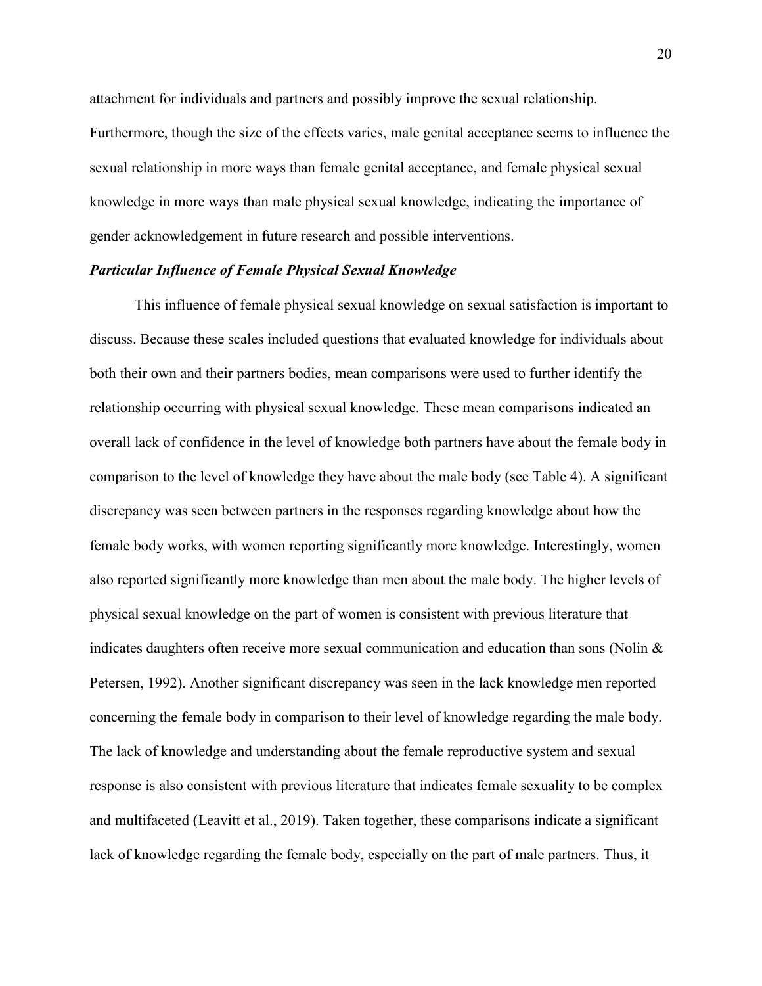attachment for individuals and partners and possibly improve the sexual relationship. Furthermore, though the size of the effects varies, male genital acceptance seems to influence the sexual relationship in more ways than female genital acceptance, and female physical sexual knowledge in more ways than male physical sexual knowledge, indicating the importance of gender acknowledgement in future research and possible interventions.

#### <span id="page-27-0"></span>*Particular Influence of Female Physical Sexual Knowledge*

This influence of female physical sexual knowledge on sexual satisfaction is important to discuss. Because these scales included questions that evaluated knowledge for individuals about both their own and their partners bodies, mean comparisons were used to further identify the relationship occurring with physical sexual knowledge. These mean comparisons indicated an overall lack of confidence in the level of knowledge both partners have about the female body in comparison to the level of knowledge they have about the male body (see Table 4). A significant discrepancy was seen between partners in the responses regarding knowledge about how the female body works, with women reporting significantly more knowledge. Interestingly, women also reported significantly more knowledge than men about the male body. The higher levels of physical sexual knowledge on the part of women is consistent with previous literature that indicates daughters often receive more sexual communication and education than sons (Nolin & Petersen, 1992). Another significant discrepancy was seen in the lack knowledge men reported concerning the female body in comparison to their level of knowledge regarding the male body. The lack of knowledge and understanding about the female reproductive system and sexual response is also consistent with previous literature that indicates female sexuality to be complex and multifaceted (Leavitt et al., 2019). Taken together, these comparisons indicate a significant lack of knowledge regarding the female body, especially on the part of male partners. Thus, it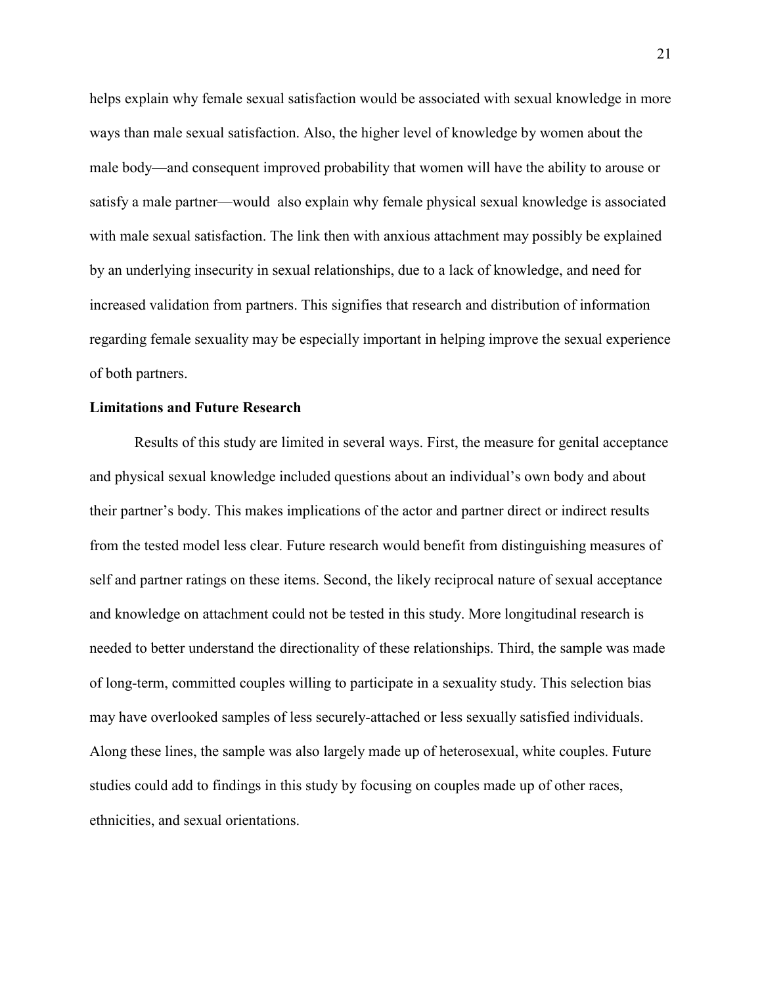helps explain why female sexual satisfaction would be associated with sexual knowledge in more ways than male sexual satisfaction. Also, the higher level of knowledge by women about the male body—and consequent improved probability that women will have the ability to arouse or satisfy a male partner—would also explain why female physical sexual knowledge is associated with male sexual satisfaction. The link then with anxious attachment may possibly be explained by an underlying insecurity in sexual relationships, due to a lack of knowledge, and need for increased validation from partners. This signifies that research and distribution of information regarding female sexuality may be especially important in helping improve the sexual experience of both partners.

## <span id="page-28-0"></span>**Limitations and Future Research**

<span id="page-28-1"></span>Results of this study are limited in several ways. First, the measure for genital acceptance and physical sexual knowledge included questions about an individual's own body and about their partner's body. This makes implications of the actor and partner direct or indirect results from the tested model less clear. Future research would benefit from distinguishing measures of self and partner ratings on these items. Second, the likely reciprocal nature of sexual acceptance and knowledge on attachment could not be tested in this study. More longitudinal research is needed to better understand the directionality of these relationships. Third, the sample was made of long-term, committed couples willing to participate in a sexuality study. This selection bias may have overlooked samples of less securely-attached or less sexually satisfied individuals. Along these lines, the sample was also largely made up of heterosexual, white couples. Future studies could add to findings in this study by focusing on couples made up of other races, ethnicities, and sexual orientations.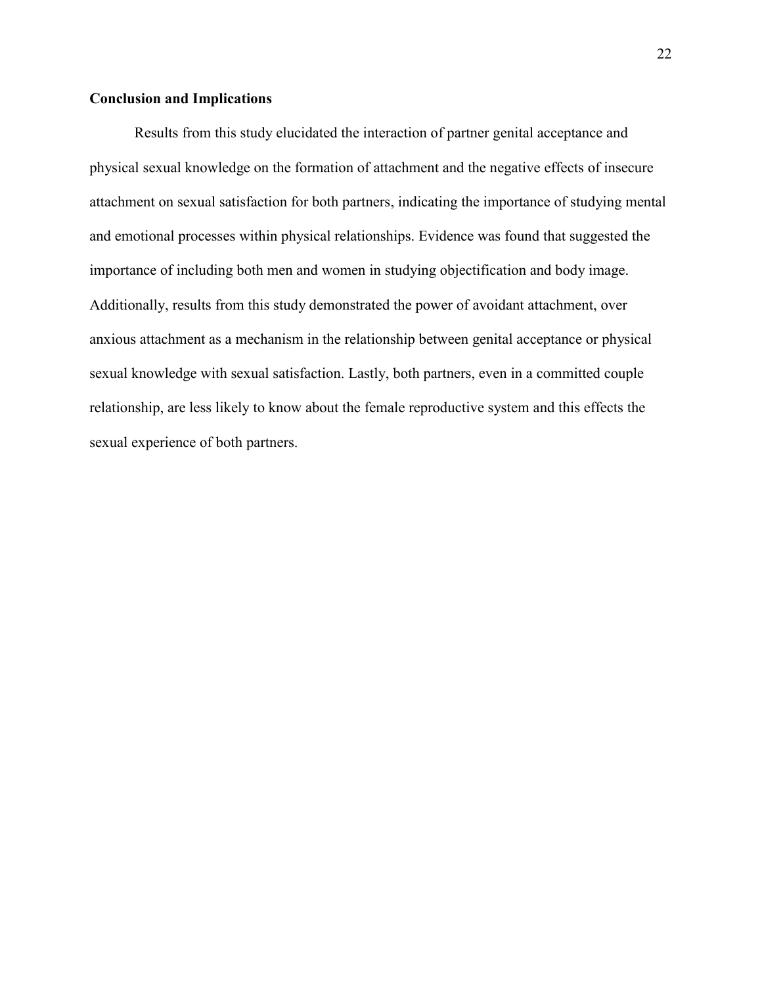# **Conclusion and Implications**

Results from this study elucidated the interaction of partner genital acceptance and physical sexual knowledge on the formation of attachment and the negative effects of insecure attachment on sexual satisfaction for both partners, indicating the importance of studying mental and emotional processes within physical relationships. Evidence was found that suggested the importance of including both men and women in studying objectification and body image. Additionally, results from this study demonstrated the power of avoidant attachment, over anxious attachment as a mechanism in the relationship between genital acceptance or physical sexual knowledge with sexual satisfaction. Lastly, both partners, even in a committed couple relationship, are less likely to know about the female reproductive system and this effects the sexual experience of both partners.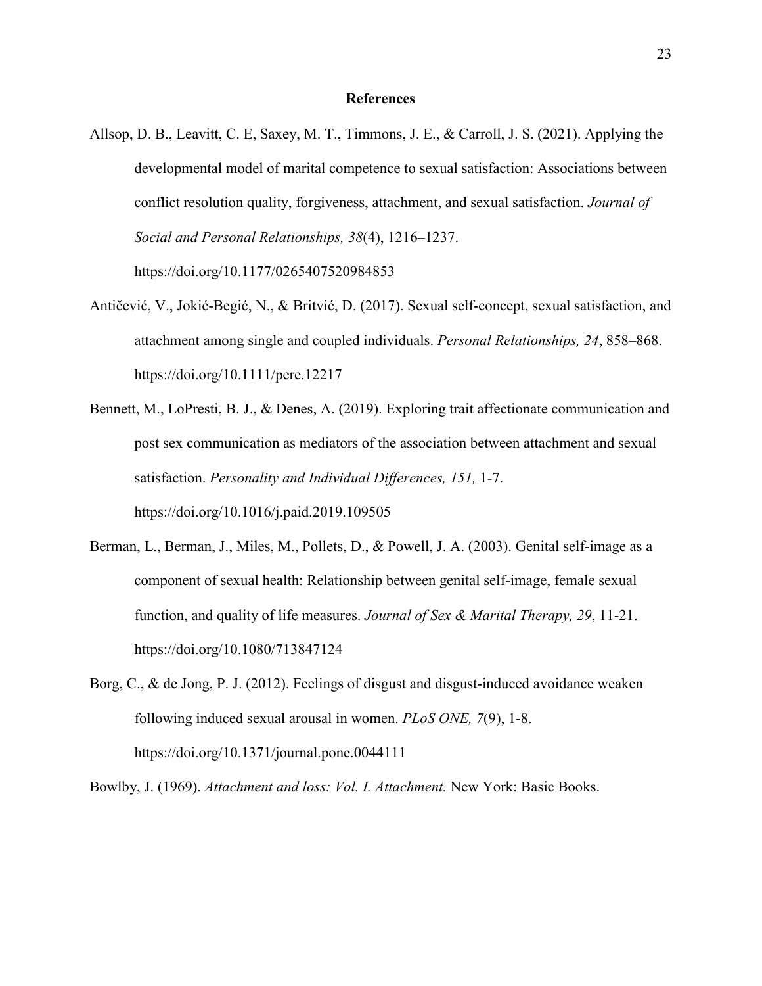#### **References**

<span id="page-30-0"></span>Allsop, D. B., Leavitt, C. E, Saxey, M. T., Timmons, J. E., & Carroll, J. S. (2021). Applying the developmental model of marital competence to sexual satisfaction: Associations between conflict resolution quality, forgiveness, attachment, and sexual satisfaction. *Journal of Social and Personal Relationships, 38*(4), 1216–1237. https://doi.org/10.1177/0265407520984853

Antičević, V., Jokić-Begić, N., & Britvić, D. (2017). Sexual self-concept, sexual satisfaction, and attachment among single and coupled individuals. *Personal Relationships, 24*, 858–868.

https://doi.org/10.1111/pere.12217

- Bennett, M., LoPresti, B. J., & Denes, A. (2019). Exploring trait affectionate communication and post sex communication as mediators of the association between attachment and sexual satisfaction. *Personality and Individual Differences, 151,* 1-7. https://doi.org/10.1016/j.paid.2019.109505
- Berman, L., Berman, J., Miles, M., Pollets, D., & Powell, J. A. (2003). Genital self-image as a component of sexual health: Relationship between genital self-image, female sexual function, and quality of life measures. *Journal of Sex & Marital Therapy, 29*, 11-21. https://doi.org/10.1080/713847124
- Borg, C., & de Jong, P. J. (2012). Feelings of disgust and disgust-induced avoidance weaken following induced sexual arousal in women. *PLoS ONE, 7*(9), 1-8. https://doi.org/10.1371/journal.pone.0044111

Bowlby, J. (1969). *Attachment and loss: Vol. I. Attachment.* New York: Basic Books.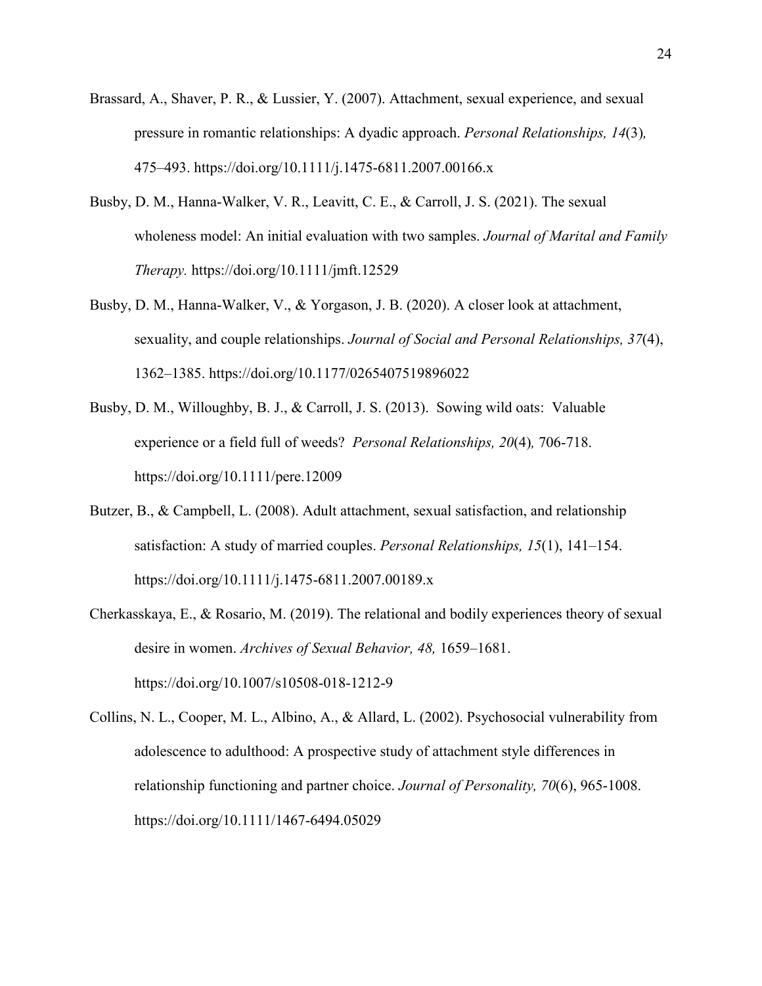- Brassard, A., Shaver, P. R., & Lussier, Y. (2007). Attachment, sexual experience, and sexual pressure in romantic relationships: A dyadic approach. *Personal Relationships, 14*(3)*,* 475–493. https://doi.org/10.1111/j.1475-6811.2007.00166.x
- Busby, D. M., Hanna-Walker, V. R., Leavitt, C. E., & Carroll, J. S. (2021). The sexual wholeness model: An initial evaluation with two samples. *Journal of Marital and Family Therapy.* https://doi.org/10.1111/jmft.12529
- Busby, D. M., Hanna-Walker, V., & Yorgason, J. B. (2020). A closer look at attachment, sexuality, and couple relationships. *Journal of Social and Personal Relationships, 37*(4), 1362–1385. https://doi.org/10.1177/0265407519896022
- Busby, D. M., Willoughby, B. J., & Carroll, J. S. (2013). Sowing wild oats: Valuable experience or a field full of weeds? *Personal Relationships, 20*(4)*,* 706-718. https://doi.org/10.1111/pere.12009
- Butzer, B., & Campbell, L. (2008). Adult attachment, sexual satisfaction, and relationship satisfaction: A study of married couples. *Personal Relationships, 15*(1), 141–154. https://doi.org/10.1111/j.1475-6811.2007.00189.x
- Cherkasskaya, E., & Rosario, M. (2019). The relational and bodily experiences theory of sexual desire in women. *Archives of Sexual Behavior, 48,* 1659–1681. https://doi.org/10.1007/s10508-018-1212-9
- Collins, N. L., Cooper, M. L., Albino, A., & Allard, L. (2002). Psychosocial vulnerability from adolescence to adulthood: A prospective study of attachment style differences in relationship functioning and partner choice. *Journal of Personality, 70*(6), 965-1008. https://doi.org/10.1111/1467-6494.05029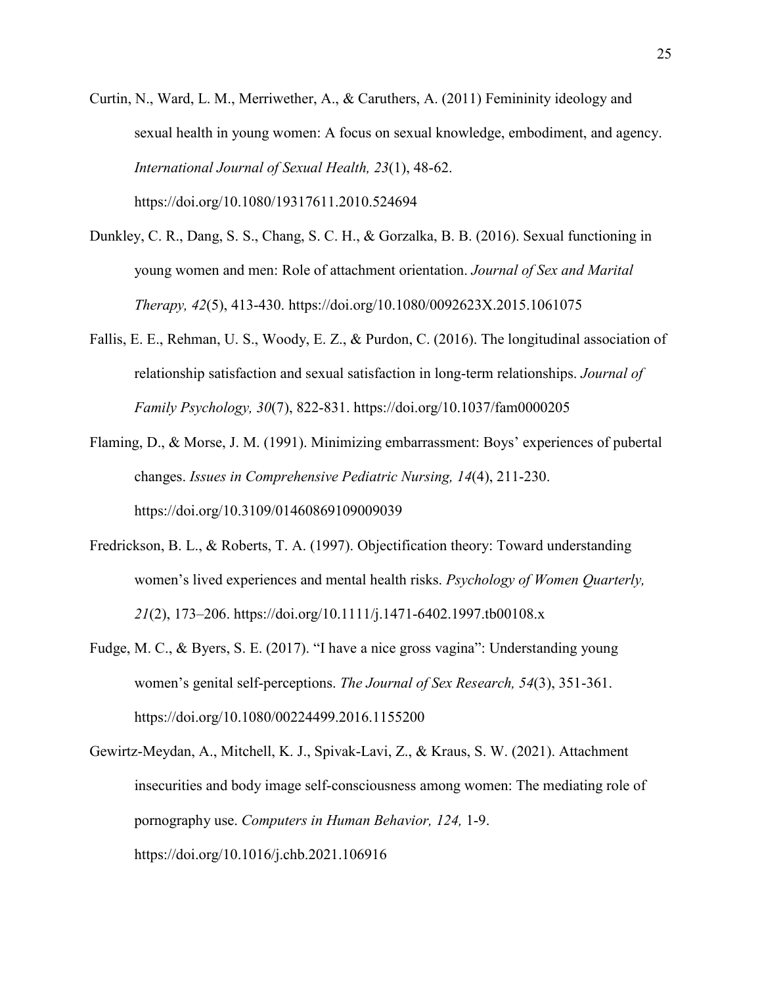Curtin, N., Ward, L. M., Merriwether, A., & Caruthers, A. (2011) Femininity ideology and sexual health in young women: A focus on sexual knowledge, embodiment, and agency. *International Journal of Sexual Health, 23*(1), 48-62.

https://doi.org/10.1080/19317611.2010.524694

- Dunkley, C. R., Dang, S. S., Chang, S. C. H., & Gorzalka, B. B. (2016). Sexual functioning in young women and men: Role of attachment orientation. *Journal of Sex and Marital Therapy, 42*(5), 413-430. https://doi.org/10.1080/0092623X.2015.1061075
- Fallis, E. E., Rehman, U. S., Woody, E. Z., & Purdon, C. (2016). The longitudinal association of relationship satisfaction and sexual satisfaction in long-term relationships. *Journal of Family Psychology, 30*(7), 822-831. https://doi.org/10.1037/fam0000205
- Flaming, D., & Morse, J. M. (1991). Minimizing embarrassment: Boys' experiences of pubertal changes. *Issues in Comprehensive Pediatric Nursing, 14*(4), 211-230. https://doi.org/10.3109/01460869109009039
- Fredrickson, B. L., & Roberts, T. A. (1997). Objectification theory: Toward understanding women's lived experiences and mental health risks. *Psychology of Women Quarterly, 21*(2), 173–206. https://doi.org/10.1111/j.1471-6402.1997.tb00108.x
- Fudge, M. C., & Byers, S. E. (2017). "I have a nice gross vagina": Understanding young women's genital self-perceptions. *The Journal of Sex Research, 54*(3), 351-361. https://doi.org/10.1080/00224499.2016.1155200
- Gewirtz-Meydan, A., Mitchell, K. J., Spivak-Lavi, Z., & Kraus, S. W. (2021). Attachment insecurities and body image self-consciousness among women: The mediating role of pornography use. *Computers in Human Behavior, 124,* 1-9. https://doi.org/10.1016/j.chb.2021.106916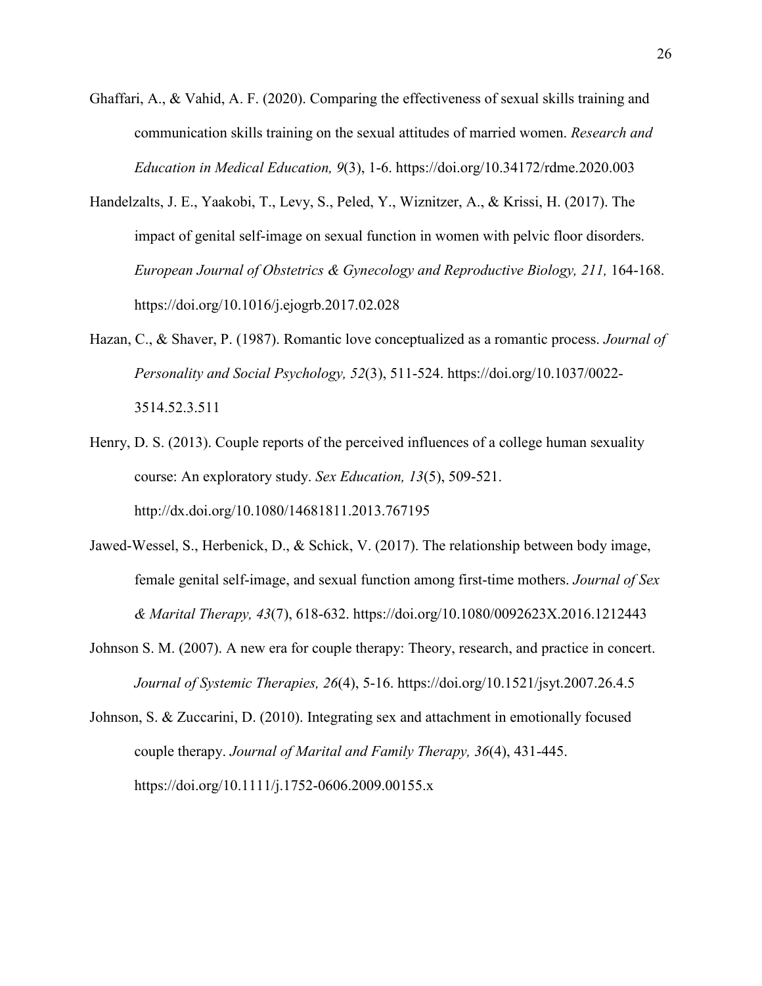- Ghaffari, A., & Vahid, A. F. (2020). Comparing the effectiveness of sexual skills training and communication skills training on the sexual attitudes of married women. *Research and Education in Medical Education, 9*(3), 1-6. https://doi.org/10.34172/rdme.2020.003
- Handelzalts, J. E., Yaakobi, T., Levy, S., Peled, Y., Wiznitzer, A., & Krissi, H. (2017). The impact of genital self-image on sexual function in women with pelvic floor disorders. *European Journal of Obstetrics & Gynecology and Reproductive Biology, 211,* 164-168. https://doi.org/10.1016/j.ejogrb.2017.02.028
- Hazan, C., & Shaver, P. (1987). Romantic love conceptualized as a romantic process. *Journal of Personality and Social Psychology, 52*(3), 511-524. https://doi.org/10.1037/0022- 3514.52.3.511
- Henry, D. S. (2013). Couple reports of the perceived influences of a college human sexuality course: An exploratory study. *Sex Education, 13*(5), 509-521. http://dx.doi.org/10.1080/14681811.2013.767195
- Jawed-Wessel, S., Herbenick, D., & Schick, V. (2017). The relationship between body image, female genital self-image, and sexual function among first-time mothers. *Journal of Sex & Marital Therapy, 43*(7), 618-632. https://doi.org/10.1080/0092623X.2016.1212443
- Johnson S. M. (2007). A new era for couple therapy: Theory, research, and practice in concert. *Journal of Systemic Therapies, 26*(4), 5-16. https://doi.org/10.1521/jsyt.2007.26.4.5
- Johnson, S. & Zuccarini, D. (2010). Integrating sex and attachment in emotionally focused couple therapy. *Journal of Marital and Family Therapy, 36*(4), 431-445. https://doi.org/10.1111/j.1752-0606.2009.00155.x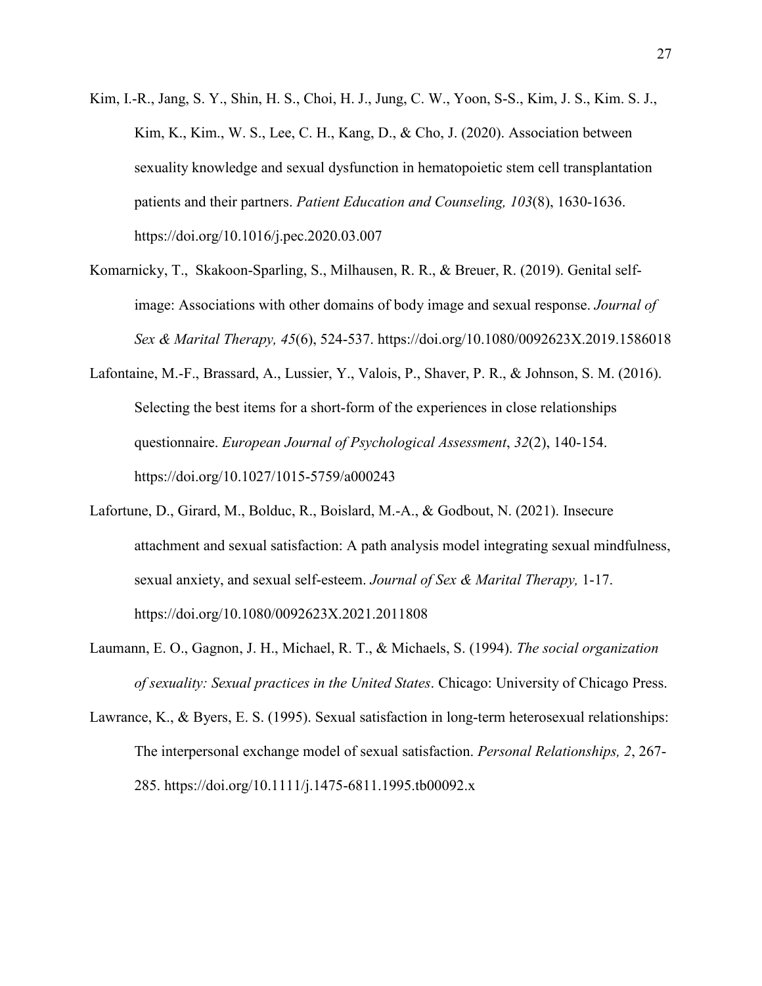- Kim, I.-R., Jang, S. Y., Shin, H. S., Choi, H. J., Jung, C. W., Yoon, S-S., Kim, J. S., Kim. S. J., Kim, K., Kim., W. S., Lee, C. H., Kang, D., & Cho, J. (2020). Association between sexuality knowledge and sexual dysfunction in hematopoietic stem cell transplantation patients and their partners. *Patient Education and Counseling, 103*(8), 1630-1636. https://doi.org/10.1016/j.pec.2020.03.007
- Komarnicky, T., Skakoon-Sparling, S., Milhausen, R. R., & Breuer, R. (2019). Genital selfimage: Associations with other domains of body image and sexual response. *Journal of Sex & Marital Therapy, 45*(6), 524-537. https://doi.org/10.1080/0092623X.2019.1586018
- Lafontaine, M.-F., Brassard, A., Lussier, Y., Valois, P., Shaver, P. R., & Johnson, S. M. (2016). Selecting the best items for a short-form of the experiences in close relationships questionnaire. *European Journal of Psychological Assessment*, *32*(2), 140-154. https://doi.org/10.1027/1015-5759/a000243
- Lafortune, D., Girard, M., Bolduc, R., Boislard, M.-A., & Godbout, N. (2021). Insecure attachment and sexual satisfaction: A path analysis model integrating sexual mindfulness, sexual anxiety, and sexual self-esteem. *Journal of Sex & Marital Therapy,* 1-17. https://doi.org/10.1080/0092623X.2021.2011808
- Laumann, E. O., Gagnon, J. H., Michael, R. T., & Michaels, S. (1994). *The social organization of sexuality: Sexual practices in the United States*. Chicago: University of Chicago Press.
- Lawrance, K., & Byers, E. S. (1995). Sexual satisfaction in long-term heterosexual relationships: The interpersonal exchange model of sexual satisfaction. *Personal Relationships, 2*, 267- 285. https://doi.org/10.1111/j.1475-6811.1995.tb00092.x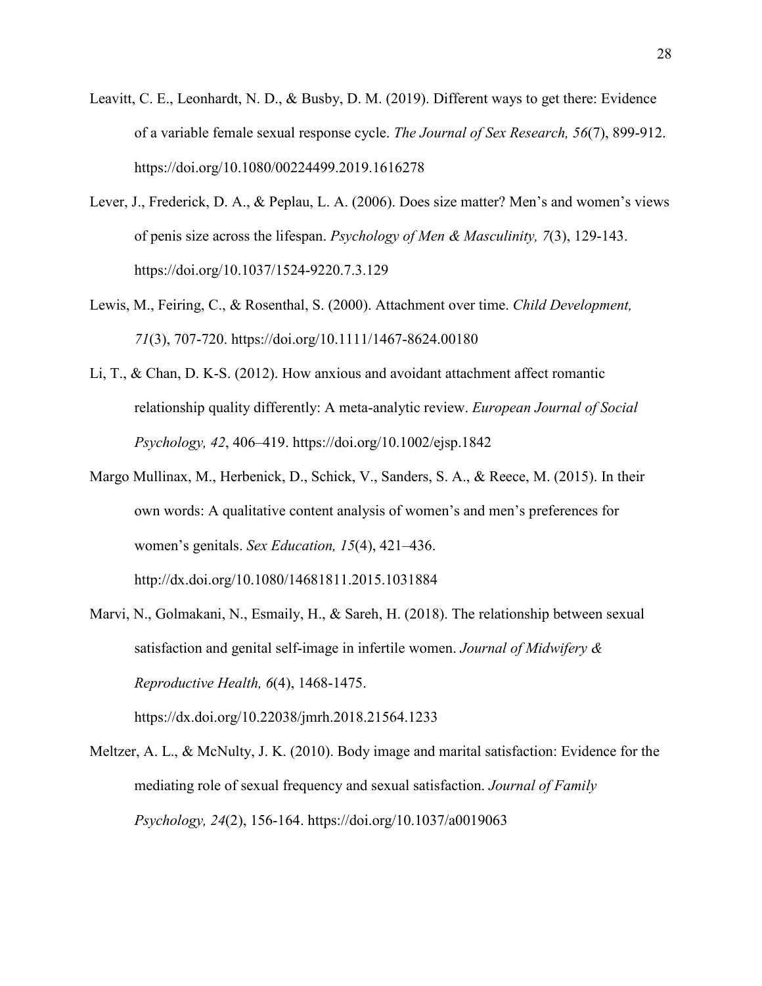- Leavitt, C. E., Leonhardt, N. D., & Busby, D. M. (2019). Different ways to get there: Evidence of a variable female sexual response cycle. *The Journal of Sex Research, 56*(7), 899-912. https://doi.org/10.1080/00224499.2019.1616278
- Lever, J., Frederick, D. A., & Peplau, L. A. (2006). Does size matter? Men's and women's views of penis size across the lifespan. *Psychology of Men & Masculinity, 7*(3), 129-143. https://doi.org/10.1037/1524-9220.7.3.129
- Lewis, M., Feiring, C., & Rosenthal, S. (2000). Attachment over time. *Child Development, 71*(3), 707-720. https://doi.org/10.1111/1467-8624.00180
- Li, T., & Chan, D. K-S. (2012). How anxious and avoidant attachment affect romantic relationship quality differently: A meta-analytic review. *European Journal of Social Psychology, 42*, 406–419. https://doi.org/10.1002/ejsp.1842
- Margo Mullinax, M., Herbenick, D., Schick, V., Sanders, S. A., & Reece, M. (2015). In their own words: A qualitative content analysis of women's and men's preferences for women's genitals. *Sex Education, 15*(4), 421–436. http://dx.doi.org/10.1080/14681811.2015.1031884
- Marvi, N., Golmakani, N., Esmaily, H., & Sareh, H. (2018). The relationship between sexual satisfaction and genital self-image in infertile women. *Journal of Midwifery & Reproductive Health, 6*(4), 1468-1475.

https://dx.doi.org/10.22038/jmrh.2018.21564.1233

Meltzer, A. L., & McNulty, J. K. (2010). Body image and marital satisfaction: Evidence for the mediating role of sexual frequency and sexual satisfaction. *Journal of Family Psychology, 24*(2), 156-164. https://doi.org/10.1037/a0019063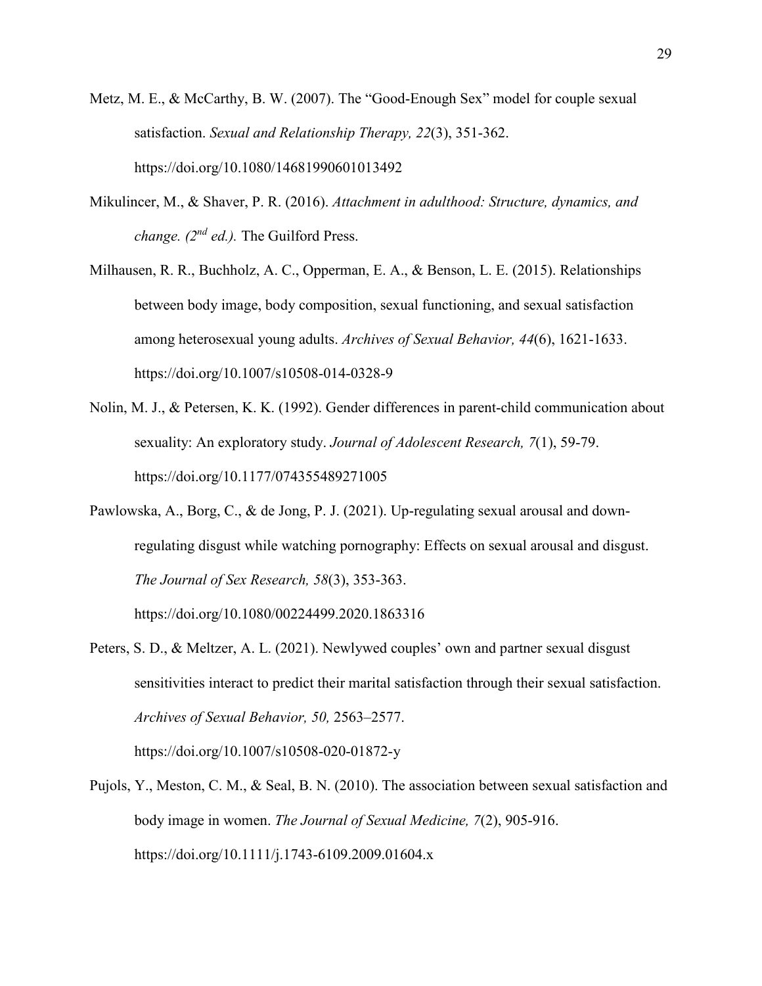- Metz, M. E., & McCarthy, B. W. (2007). The "Good-Enough Sex" model for couple sexual satisfaction. *Sexual and Relationship Therapy, 22*(3), 351-362. https://doi.org/10.1080/14681990601013492
- Mikulincer, M., & Shaver, P. R. (2016). *Attachment in adulthood: Structure, dynamics, and change. (2nd ed.).* The Guilford Press.
- Milhausen, R. R., Buchholz, A. C., Opperman, E. A., & Benson, L. E. (2015). Relationships between body image, body composition, sexual functioning, and sexual satisfaction among heterosexual young adults. *Archives of Sexual Behavior, 44*(6), 1621-1633. https://doi.org/10.1007/s10508-014-0328-9
- Nolin, M. J., & Petersen, K. K. (1992). Gender differences in parent-child communication about sexuality: An exploratory study. *Journal of Adolescent Research, 7*(1), 59-79. https://doi.org/10.1177/074355489271005
- Pawlowska, A., Borg, C., & de Jong, P. J. (2021). Up-regulating sexual arousal and downregulating disgust while watching pornography: Effects on sexual arousal and disgust. *The Journal of Sex Research, 58*(3), 353-363.

https://doi.org/10.1080/00224499.2020.1863316

Peters, S. D., & Meltzer, A. L. (2021). Newlywed couples' own and partner sexual disgust sensitivities interact to predict their marital satisfaction through their sexual satisfaction. *Archives of Sexual Behavior, 50,* 2563–2577.

https://doi.org/10.1007/s10508-020-01872-y

Pujols, Y., Meston, C. M., & Seal, B. N. (2010). The association between sexual satisfaction and body image in women. *The Journal of Sexual Medicine, 7*(2), 905-916. https://doi.org/10.1111/j.1743-6109.2009.01604.x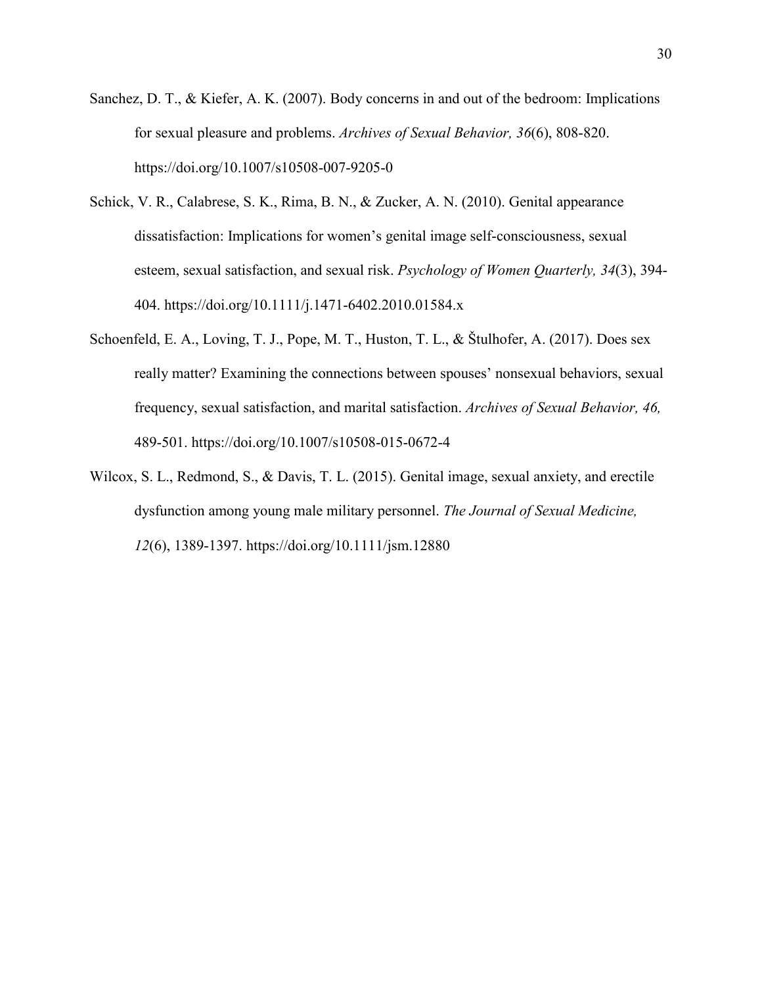- Sanchez, D. T., & Kiefer, A. K. (2007). Body concerns in and out of the bedroom: Implications for sexual pleasure and problems. *Archives of Sexual Behavior, 36*(6), 808-820. https://doi.org/10.1007/s10508-007-9205-0
- Schick, V. R., Calabrese, S. K., Rima, B. N., & Zucker, A. N. (2010). Genital appearance dissatisfaction: Implications for women's genital image self-consciousness, sexual esteem, sexual satisfaction, and sexual risk. *Psychology of Women Quarterly, 34*(3), 394- 404. https://doi.org/10.1111/j.1471-6402.2010.01584.x
- Schoenfeld, E. A., Loving, T. J., Pope, M. T., Huston, T. L., & Štulhofer, A. (2017). Does sex really matter? Examining the connections between spouses' nonsexual behaviors, sexual frequency, sexual satisfaction, and marital satisfaction. *Archives of Sexual Behavior, 46,*  489-501. https://doi.org/10.1007/s10508-015-0672-4
- Wilcox, S. L., Redmond, S., & Davis, T. L. (2015). Genital image, sexual anxiety, and erectile dysfunction among young male military personnel. *The Journal of Sexual Medicine, 12*(6), 1389-1397. https://doi.org/10.1111/jsm.12880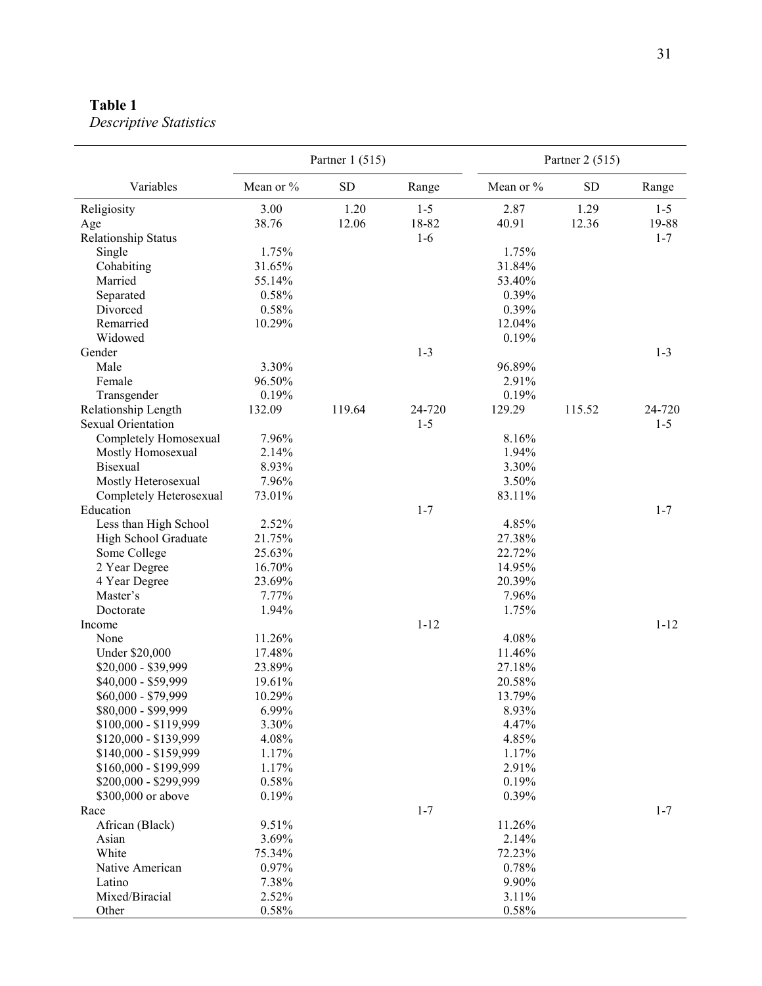# <span id="page-38-0"></span>**Table 1**

|                            |           | Partner $1(515)$ |          | Partner 2 (515) |            |          |
|----------------------------|-----------|------------------|----------|-----------------|------------|----------|
| Variables                  | Mean or % | SD               | Range    | Mean or %       | ${\rm SD}$ | Range    |
| Religiosity                | 3.00      | 1.20             | $1 - 5$  | 2.87            | 1.29       | $1 - 5$  |
| Age                        | 38.76     | 12.06            | 18-82    | 40.91           | 12.36      | 19-88    |
| <b>Relationship Status</b> |           |                  | $1-6$    |                 |            | $1 - 7$  |
| Single                     | 1.75%     |                  |          | 1.75%           |            |          |
| Cohabiting                 | 31.65%    |                  |          | 31.84%          |            |          |
| Married                    | 55.14%    |                  |          | 53.40%          |            |          |
| Separated                  | 0.58%     |                  |          | 0.39%           |            |          |
| Divorced                   | 0.58%     |                  |          | 0.39%           |            |          |
| Remarried                  | 10.29%    |                  |          | 12.04%          |            |          |
| Widowed                    |           |                  |          | 0.19%           |            |          |
| Gender                     |           |                  | $1 - 3$  |                 |            | $1-3$    |
| Male                       | 3.30%     |                  |          | 96.89%          |            |          |
| Female                     | 96.50%    |                  |          | 2.91%           |            |          |
| Transgender                | 0.19%     |                  |          | 0.19%           |            |          |
| Relationship Length        | 132.09    | 119.64           | 24-720   | 129.29          | 115.52     | 24-720   |
| Sexual Orientation         |           |                  | $1 - 5$  |                 |            | $1-5$    |
| Completely Homosexual      | 7.96%     |                  |          | 8.16%           |            |          |
| Mostly Homosexual          | 2.14%     |                  |          | 1.94%           |            |          |
| <b>Bisexual</b>            | 8.93%     |                  |          | 3.30%           |            |          |
| Mostly Heterosexual        | 7.96%     |                  |          | 3.50%           |            |          |
| Completely Heterosexual    | 73.01%    |                  |          | 83.11%          |            |          |
| Education                  |           |                  | $1 - 7$  |                 |            | $1 - 7$  |
| Less than High School      | 2.52%     |                  |          | 4.85%           |            |          |
| High School Graduate       | 21.75%    |                  |          | 27.38%          |            |          |
| Some College               | 25.63%    |                  |          | 22.72%          |            |          |
| 2 Year Degree              | 16.70%    |                  |          | 14.95%          |            |          |
| 4 Year Degree              | 23.69%    |                  |          | 20.39%          |            |          |
| Master's                   | 7.77%     |                  |          | 7.96%           |            |          |
| Doctorate                  | 1.94%     |                  |          | 1.75%           |            |          |
| Income                     |           |                  | $1 - 12$ |                 |            | $1 - 12$ |
| None                       | 11.26%    |                  |          | 4.08%           |            |          |
| Under \$20,000             | 17.48%    |                  |          | 11.46%          |            |          |
| \$20,000 - \$39,999        | 23.89%    |                  |          | 27.18%          |            |          |
| \$40,000 - \$59,999        | 19.61%    |                  |          | 20.58%          |            |          |
| \$60,000 - \$79,999        | 10.29%    |                  |          | 13.79%          |            |          |
| \$80,000 - \$99,999        | 6.99%     |                  |          | 8.93%           |            |          |
| \$100,000 - \$119,999      | 3.30%     |                  |          | 4.47%           |            |          |
| \$120,000 - \$139,999      | 4.08%     |                  |          | 4.85%           |            |          |
| \$140,000 - \$159,999      | 1.17%     |                  |          | 1.17%           |            |          |
| \$160,000 - \$199,999      | 1.17%     |                  |          | 2.91%           |            |          |
| \$200,000 - \$299,999      | 0.58%     |                  |          | 0.19%           |            |          |
| \$300,000 or above         | 0.19%     |                  |          | 0.39%           |            |          |
| Race                       |           |                  | $1 - 7$  |                 |            | $1 - 7$  |
| African (Black)            | 9.51%     |                  |          | 11.26%          |            |          |
| Asian                      | 3.69%     |                  |          | 2.14%           |            |          |
| White                      | 75.34%    |                  |          | 72.23%          |            |          |
| Native American            | 0.97%     |                  |          | 0.78%           |            |          |
| Latino                     | 7.38%     |                  |          | 9.90%           |            |          |
| Mixed/Biracial             | 2.52%     |                  |          | 3.11%           |            |          |
| Other                      | 0.58%     |                  |          | 0.58%           |            |          |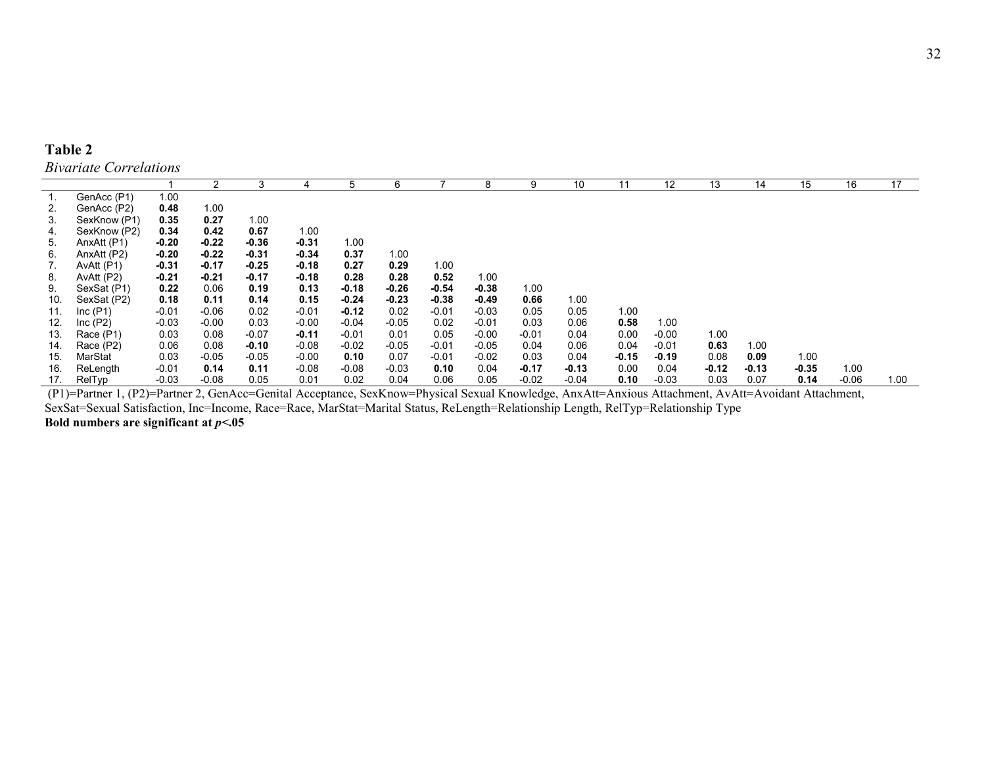| <b>Table 2</b> |                               |
|----------------|-------------------------------|
|                | <b>Bivariate Correlations</b> |

|     |              |         | $\overline{2}$ | 3       | 4       | 5       | 6       |         | 8       | 9       | 10      | 11      | 12      | 13      | 14      | 15    | 16      | 17   |
|-----|--------------|---------|----------------|---------|---------|---------|---------|---------|---------|---------|---------|---------|---------|---------|---------|-------|---------|------|
|     | GenAcc (P1)  | 1.00    |                |         |         |         |         |         |         |         |         |         |         |         |         |       |         |      |
| 2.  | GenAcc (P2)  | 0.48    | 1.00           |         |         |         |         |         |         |         |         |         |         |         |         |       |         |      |
| 3.  | SexKnow (P1) | 0.35    | 0.27           | 1.00    |         |         |         |         |         |         |         |         |         |         |         |       |         |      |
| 4.  | SexKnow (P2) | 0.34    | 0.42           | 0.67    | 1.00    |         |         |         |         |         |         |         |         |         |         |       |         |      |
| 5.  | AnxAtt (P1)  | $-0.20$ | $-0.22$        | $-0.36$ | $-0.31$ | 1.00    |         |         |         |         |         |         |         |         |         |       |         |      |
| 6.  | AnxAtt (P2)  | $-0.20$ | $-0.22$        | $-0.31$ | $-0.34$ | 0.37    | 1.00    |         |         |         |         |         |         |         |         |       |         |      |
| 7.  | AvAtt (P1)   | $-0.31$ | $-0.17$        | $-0.25$ | $-0.18$ | 0.27    | 0.29    | 1.00    |         |         |         |         |         |         |         |       |         |      |
| 8.  | AvAtt (P2)   | $-0.21$ | $-0.21$        | $-0.17$ | $-0.18$ | 0.28    | 0.28    | 0.52    | 1.00    |         |         |         |         |         |         |       |         |      |
| 9.  | SexSat (P1)  | 0.22    | 0.06           | 0.19    | 0.13    | $-0.18$ | $-0.26$ | $-0.54$ | $-0.38$ | 1.00    |         |         |         |         |         |       |         |      |
| 10. | SexSat (P2)  | 0.18    | 0.11           | 0.14    | 0.15    | $-0.24$ | $-0.23$ | $-0.38$ | $-0.49$ | 0.66    | 1.00    |         |         |         |         |       |         |      |
| 11. | Inc(P1)      | $-0.01$ | $-0.06$        | 0.02    | $-0.01$ | $-0.12$ | 0.02    | $-0.01$ | $-0.03$ | 0.05    | 0.05    | 1.00    |         |         |         |       |         |      |
| 12. | Inc(P2)      | $-0.03$ | $-0.00$        | 0.03    | $-0.00$ | $-0.04$ | $-0.05$ | 0.02    | $-0.01$ | 0.03    | 0.06    | 0.58    | 1.00    |         |         |       |         |      |
| 13. | Race (P1)    | 0.03    | 0.08           | $-0.07$ | $-0.11$ | $-0.01$ | 0.01    | 0.05    | $-0.00$ | $-0.01$ | 0.04    | 0.00    | $-0.00$ | 1.00    |         |       |         |      |
| 14. | Race (P2)    | 0.06    | 0.08           | $-0.10$ | -0.08   | $-0.02$ | $-0.05$ | $-0.01$ | $-0.05$ | 0.04    | 0.06    | 0.04    | $-0.01$ | 0.63    | 1.00    |       |         |      |
| 15. | MarStat      | 0.03    | $-0.05$        | $-0.05$ | $-0.00$ | 0.10    | 0.07    | $-0.01$ | $-0.02$ | 0.03    | 0.04    | $-0.15$ | $-0.19$ | 0.08    | 0.09    | 1.00  |         |      |
| 16. | ReLength     | $-0.01$ | 0.14           | 0.11    | $-0.08$ | $-0.08$ | $-0.03$ | 0.10    | 0.04    | $-0.17$ | $-0.13$ | 0.00    | 0.04    | $-0.12$ | $-0.13$ | -0.35 | 1.00    |      |
| 17. | RelTyp       | $-0.03$ | $-0.08$        | 0.05    | 0.01    | 0.02    | 0.04    | 0.06    | 0.05    | $-0.02$ | $-0.04$ | 0.10    | $-0.03$ | 0.03    | 0.07    | 0.14  | $-0.06$ | 1.00 |

<span id="page-39-0"></span>(P1)=Partner 1, (P2)=Partner 2, GenAcc=Genital Acceptance, SexKnow=Physical Sexual Knowledge, AnxAtt=Anxious Attachment, AvAtt=Avoidant Attachment, SexSat=Sexual Satisfaction, Inc=Income, Race=Race, MarStat=Marital Status, ReLength=Relationship Length, RelTyp=Relationship Type **Bold numbers are significant at** *p***<.05**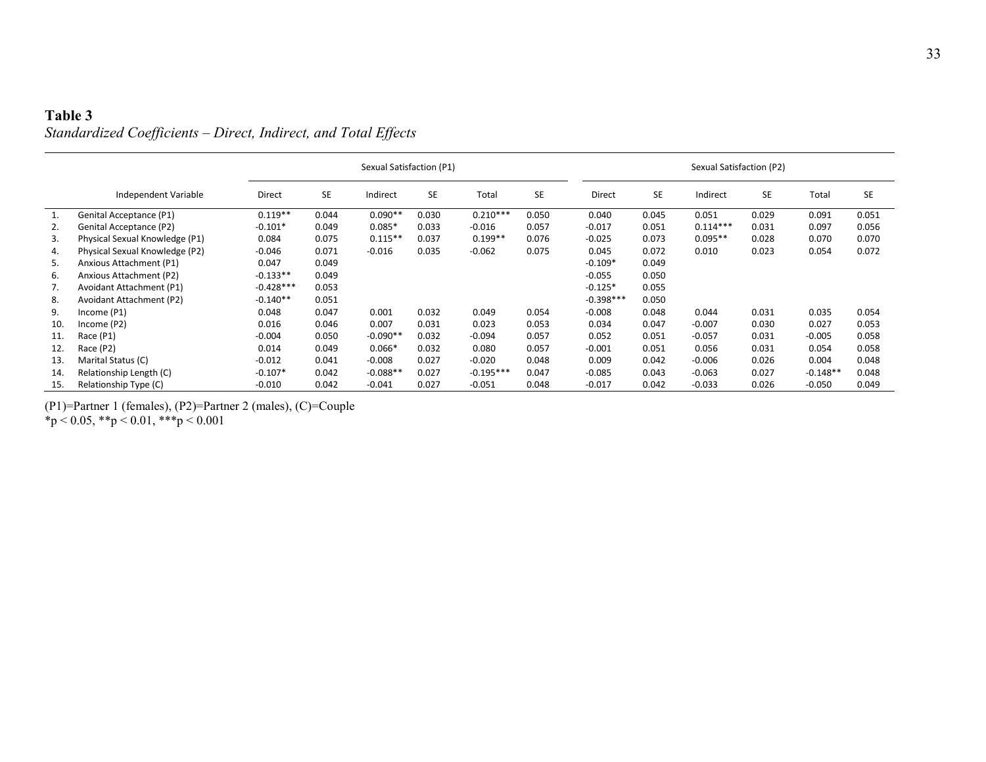# **Table 3** *Standardized Coefficients – Direct, Indirect, and Total Effects*

|     |                                 | Sexual Satisfaction (P1) |           |            |           |             |           |               | Sexual Satisfaction (P2) |            |           |            |           |  |
|-----|---------------------------------|--------------------------|-----------|------------|-----------|-------------|-----------|---------------|--------------------------|------------|-----------|------------|-----------|--|
|     | Independent Variable            | Direct                   | <b>SE</b> | Indirect   | <b>SE</b> | Total       | <b>SE</b> | <b>Direct</b> | <b>SE</b>                | Indirect   | <b>SE</b> | Total      | <b>SE</b> |  |
| 1.  | Genital Acceptance (P1)         | $0.119**$                | 0.044     | $0.090**$  | 0.030     | $0.210***$  | 0.050     | 0.040         | 0.045                    | 0.051      | 0.029     | 0.091      | 0.051     |  |
| 2.  | Genital Acceptance (P2)         | $-0.101*$                | 0.049     | $0.085*$   | 0.033     | $-0.016$    | 0.057     | $-0.017$      | 0.051                    | $0.114***$ | 0.031     | 0.097      | 0.056     |  |
| 3.  | Physical Sexual Knowledge (P1)  | 0.084                    | 0.075     | $0.115**$  | 0.037     | $0.199**$   | 0.076     | $-0.025$      | 0.073                    | $0.095**$  | 0.028     | 0.070      | 0.070     |  |
| 4.  | Physical Sexual Knowledge (P2)  | $-0.046$                 | 0.071     | $-0.016$   | 0.035     | $-0.062$    | 0.075     | 0.045         | 0.072                    | 0.010      | 0.023     | 0.054      | 0.072     |  |
| 5.  | Anxious Attachment (P1)         | 0.047                    | 0.049     |            |           |             |           | $-0.109*$     | 0.049                    |            |           |            |           |  |
| 6.  | Anxious Attachment (P2)         | $-0.133**$               | 0.049     |            |           |             |           | $-0.055$      | 0.050                    |            |           |            |           |  |
| 7.  | Avoidant Attachment (P1)        | $-0.428***$              | 0.053     |            |           |             |           | $-0.125*$     | 0.055                    |            |           |            |           |  |
| 8.  | <b>Avoidant Attachment (P2)</b> | $-0.140**$               | 0.051     |            |           |             |           | $-0.398***$   | 0.050                    |            |           |            |           |  |
| 9.  | Income(P1)                      | 0.048                    | 0.047     | 0.001      | 0.032     | 0.049       | 0.054     | $-0.008$      | 0.048                    | 0.044      | 0.031     | 0.035      | 0.054     |  |
| 10. | Income (P2)                     | 0.016                    | 0.046     | 0.007      | 0.031     | 0.023       | 0.053     | 0.034         | 0.047                    | $-0.007$   | 0.030     | 0.027      | 0.053     |  |
| 11. | Race (P1)                       | $-0.004$                 | 0.050     | $-0.090**$ | 0.032     | $-0.094$    | 0.057     | 0.052         | 0.051                    | $-0.057$   | 0.031     | $-0.005$   | 0.058     |  |
| 12. | Race (P2)                       | 0.014                    | 0.049     | $0.066*$   | 0.032     | 0.080       | 0.057     | $-0.001$      | 0.051                    | 0.056      | 0.031     | 0.054      | 0.058     |  |
| 13. | Marital Status (C)              | $-0.012$                 | 0.041     | $-0.008$   | 0.027     | $-0.020$    | 0.048     | 0.009         | 0.042                    | $-0.006$   | 0.026     | 0.004      | 0.048     |  |
| 14. | Relationship Length (C)         | $-0.107*$                | 0.042     | $-0.088**$ | 0.027     | $-0.195***$ | 0.047     | $-0.085$      | 0.043                    | $-0.063$   | 0.027     | $-0.148**$ | 0.048     |  |
| 15. | Relationship Type (C)           | $-0.010$                 | 0.042     | $-0.041$   | 0.027     | $-0.051$    | 0.048     | $-0.017$      | 0.042                    | $-0.033$   | 0.026     | $-0.050$   | 0.049     |  |

<span id="page-40-0"></span>(P1)=Partner 1 (females), (P2)=Partner 2 (males), (C)=Couple  $*_p$  < 0.05,  $*_p$  < 0.01,  $**_p$  < 0.001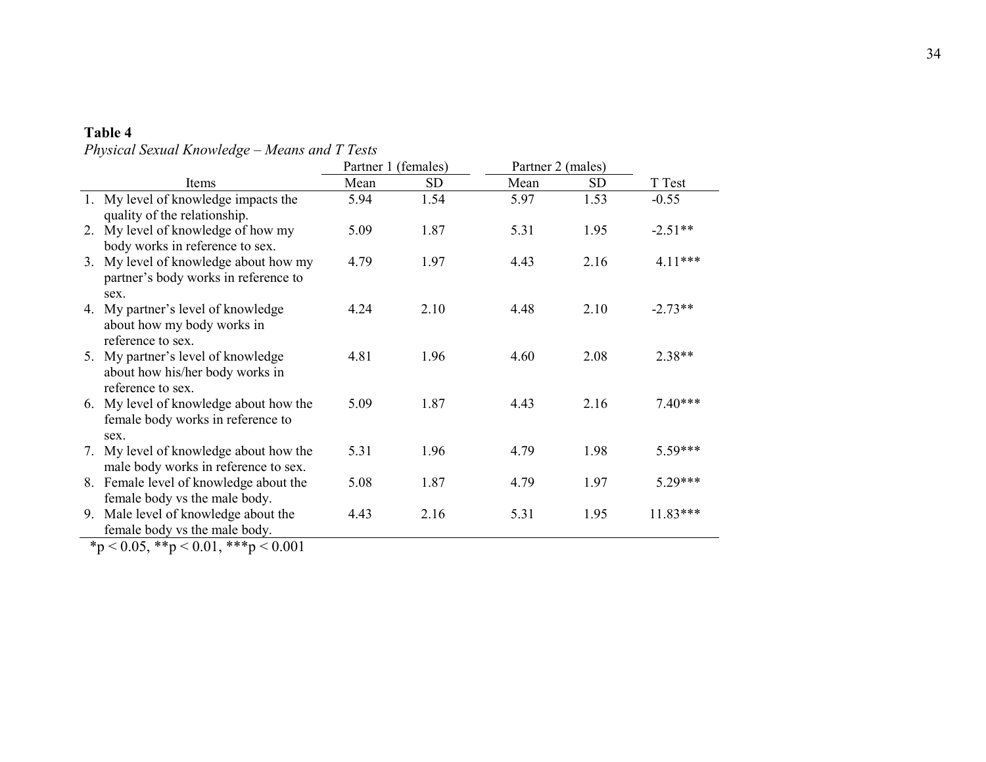# **Table 4**

*Physical Sexual Knowledge – Means and T Tests*

<span id="page-41-0"></span>

|    |                                                | Partner 1 (females) |           | Partner 2 (males) |           |           |
|----|------------------------------------------------|---------------------|-----------|-------------------|-----------|-----------|
|    | Items                                          | Mean                | <b>SD</b> | Mean              | <b>SD</b> | T Test    |
|    | 1. My level of knowledge impacts the           | 5.94                | 1.54      | 5.97              | 1.53      | $-0.55$   |
|    | quality of the relationship.                   |                     |           |                   |           |           |
| 2. | My level of knowledge of how my                | 5.09                | 1.87      | 5.31              | 1.95      | $-2.51**$ |
|    | body works in reference to sex.                |                     |           |                   |           |           |
| 3. | My level of knowledge about how my             | 4.79                | 1.97      | 4.43              | 2.16      | $4.11***$ |
|    | partner's body works in reference to           |                     |           |                   |           |           |
|    | sex.                                           |                     |           |                   |           |           |
|    | 4. My partner's level of knowledge             | 4.24                | 2.10      | 4.48              | 2.10      | $-2.73**$ |
|    | about how my body works in                     |                     |           |                   |           |           |
|    | reference to sex.                              |                     |           |                   |           |           |
|    | 5. My partner's level of knowledge             | 4.81                | 1.96      | 4.60              | 2.08      | 2.38**    |
|    | about how his/her body works in                |                     |           |                   |           |           |
|    | reference to sex.                              |                     |           |                   |           |           |
| 6. | My level of knowledge about how the            | 5.09                | 1.87      | 4.43              | 2.16      | $7.40***$ |
|    | female body works in reference to              |                     |           |                   |           |           |
|    | sex.<br>7. My level of knowledge about how the | 5.31                | 1.96      | 4.79              | 1.98      | 5.59***   |
|    | male body works in reference to sex.           |                     |           |                   |           |           |
|    | 8. Female level of knowledge about the         | 5.08                | 1.87      | 4.79              | 1.97      | 5.29***   |
|    | female body vs the male body.                  |                     |           |                   |           |           |
| 9. | Male level of knowledge about the              | 4.43                | 2.16      | 5.31              | 1.95      | 11.83***  |
|    | female body vs the male body.                  |                     |           |                   |           |           |

 $*_p$  < 0.05,  $*_p$  < 0.01,  $**_p$  < 0.001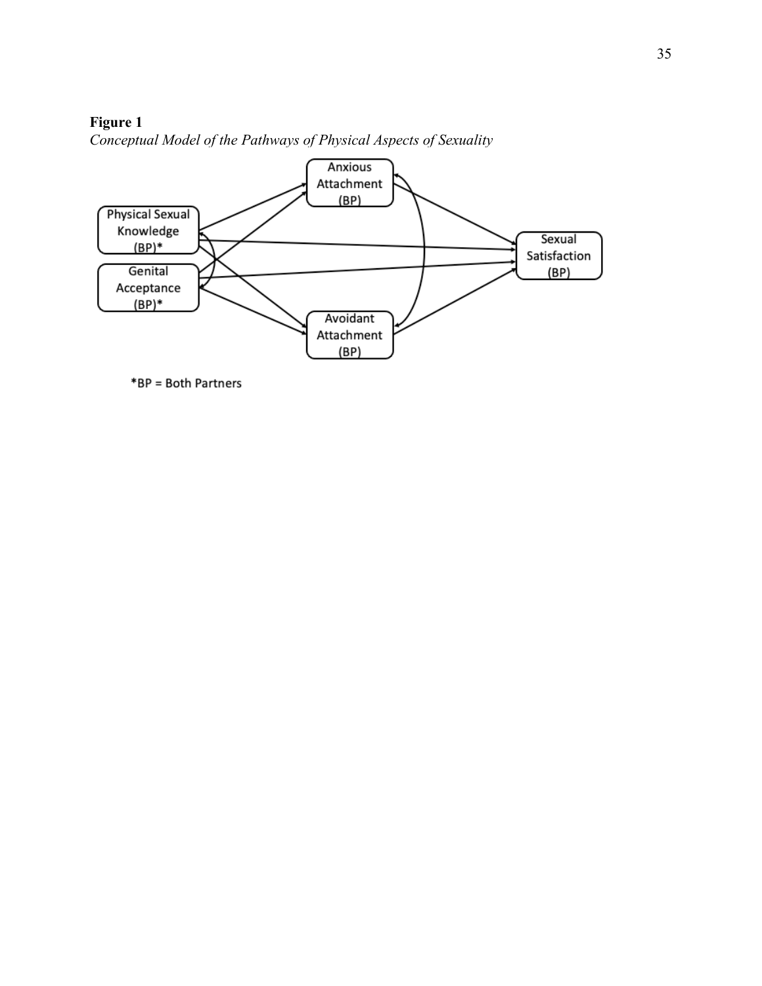# <span id="page-42-0"></span>**Figure 1**



*Conceptual Model of the Pathways of Physical Aspects of Sexuality*

\*BP = Both Partners